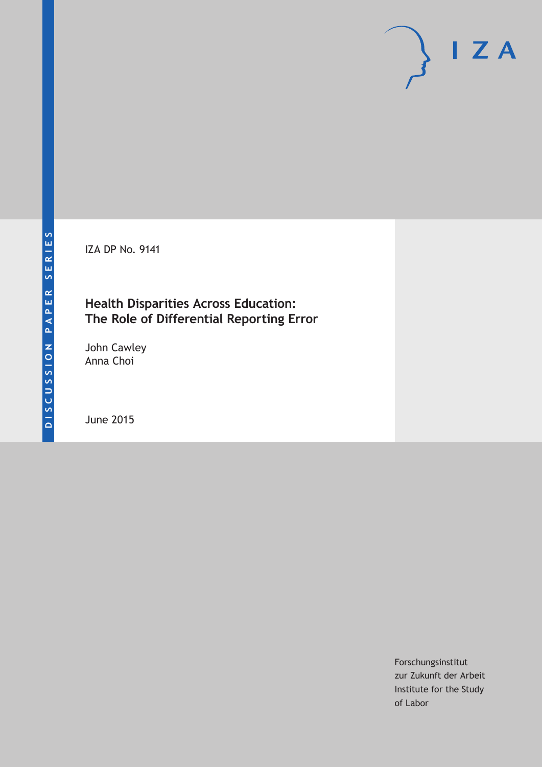IZA DP No. 9141

# **Health Disparities Across Education: The Role of Differential Reporting Error**

John Cawley Anna Choi

June 2015

Forschungsinstitut zur Zukunft der Arbeit Institute for the Study of Labor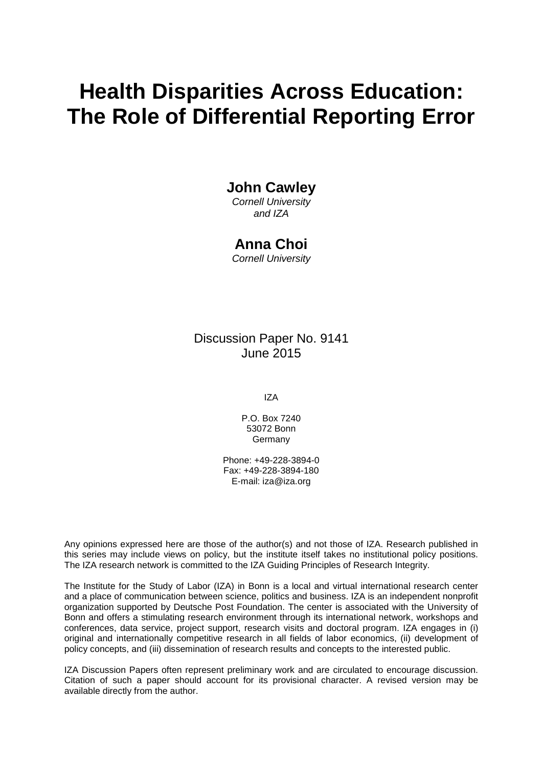# **Health Disparities Across Education: The Role of Differential Reporting Error**

# **John Cawley**

*Cornell University and IZA*

## **Anna Choi**

*Cornell University*

## Discussion Paper No. 9141 June 2015

IZA

P.O. Box 7240 53072 Bonn Germany

Phone: +49-228-3894-0 Fax: +49-228-3894-180 E-mail: iza@iza.org

Any opinions expressed here are those of the author(s) and not those of IZA. Research published in this series may include views on policy, but the institute itself takes no institutional policy positions. The IZA research network is committed to the IZA Guiding Principles of Research Integrity.

The Institute for the Study of Labor (IZA) in Bonn is a local and virtual international research center and a place of communication between science, politics and business. IZA is an independent nonprofit organization supported by Deutsche Post Foundation. The center is associated with the University of Bonn and offers a stimulating research environment through its international network, workshops and conferences, data service, project support, research visits and doctoral program. IZA engages in (i) original and internationally competitive research in all fields of labor economics, (ii) development of policy concepts, and (iii) dissemination of research results and concepts to the interested public.

<span id="page-1-0"></span>IZA Discussion Papers often represent preliminary work and are circulated to encourage discussion. Citation of such a paper should account for its provisional character. A revised version may be available directly from the author.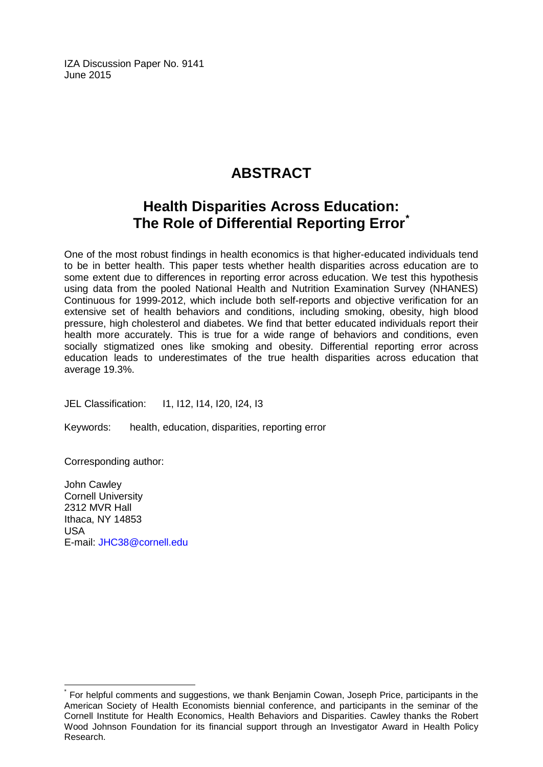IZA Discussion Paper No. 9141 June 2015

# **ABSTRACT**

# **Health Disparities Across Education: The Role of Differential Reporting Error[\\*](#page-1-0)**

One of the most robust findings in health economics is that higher-educated individuals tend to be in better health. This paper tests whether health disparities across education are to some extent due to differences in reporting error across education. We test this hypothesis using data from the pooled National Health and Nutrition Examination Survey (NHANES) Continuous for 1999-2012, which include both self-reports and objective verification for an extensive set of health behaviors and conditions, including smoking, obesity, high blood pressure, high cholesterol and diabetes. We find that better educated individuals report their health more accurately. This is true for a wide range of behaviors and conditions, even socially stigmatized ones like smoking and obesity. Differential reporting error across education leads to underestimates of the true health disparities across education that average 19.3%.

JEL Classification: I1, I12, I14, I20, I24, I3

Keywords: health, education, disparities, reporting error

Corresponding author:

John Cawley Cornell University 2312 MVR Hall Ithaca, NY 14853 USA E-mail: [JHC38@cornell.edu](mailto:JHC38@cornell.edu)

For helpful comments and suggestions, we thank Benjamin Cowan, Joseph Price, participants in the American Society of Health Economists biennial conference, and participants in the seminar of the Cornell Institute for Health Economics, Health Behaviors and Disparities. Cawley thanks the Robert Wood Johnson Foundation for its financial support through an Investigator Award in Health Policy Research.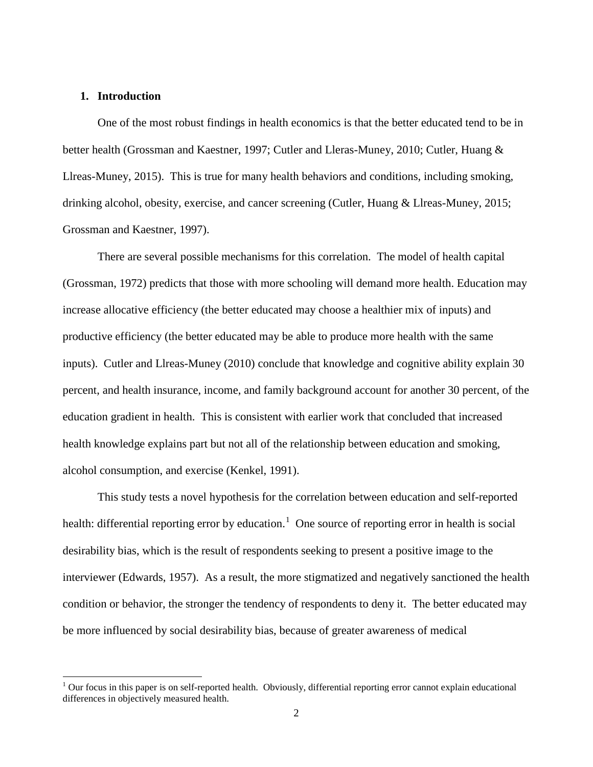#### **1. Introduction**

One of the most robust findings in health economics is that the better educated tend to be in better health (Grossman and Kaestner, 1997; Cutler and Lleras-Muney, 2010; Cutler, Huang & Llreas-Muney, 2015). This is true for many health behaviors and conditions, including smoking, drinking alcohol, obesity, exercise, and cancer screening (Cutler, Huang & Llreas-Muney, 2015; Grossman and Kaestner, 1997).

There are several possible mechanisms for this correlation. The model of health capital (Grossman, 1972) predicts that those with more schooling will demand more health. Education may increase allocative efficiency (the better educated may choose a healthier mix of inputs) and productive efficiency (the better educated may be able to produce more health with the same inputs). Cutler and Llreas-Muney (2010) conclude that knowledge and cognitive ability explain 30 percent, and health insurance, income, and family background account for another 30 percent, of the education gradient in health. This is consistent with earlier work that concluded that increased health knowledge explains part but not all of the relationship between education and smoking, alcohol consumption, and exercise (Kenkel, 1991).

This study tests a novel hypothesis for the correlation between education and self-reported health: differential reporting error by education.<sup>[1](#page-3-0)</sup> One source of reporting error in health is social desirability bias, which is the result of respondents seeking to present a positive image to the interviewer (Edwards, 1957). As a result, the more stigmatized and negatively sanctioned the health condition or behavior, the stronger the tendency of respondents to deny it. The better educated may be more influenced by social desirability bias, because of greater awareness of medical

<span id="page-3-0"></span> $1$  Our focus in this paper is on self-reported health. Obviously, differential reporting error cannot explain educational differences in objectively measured health.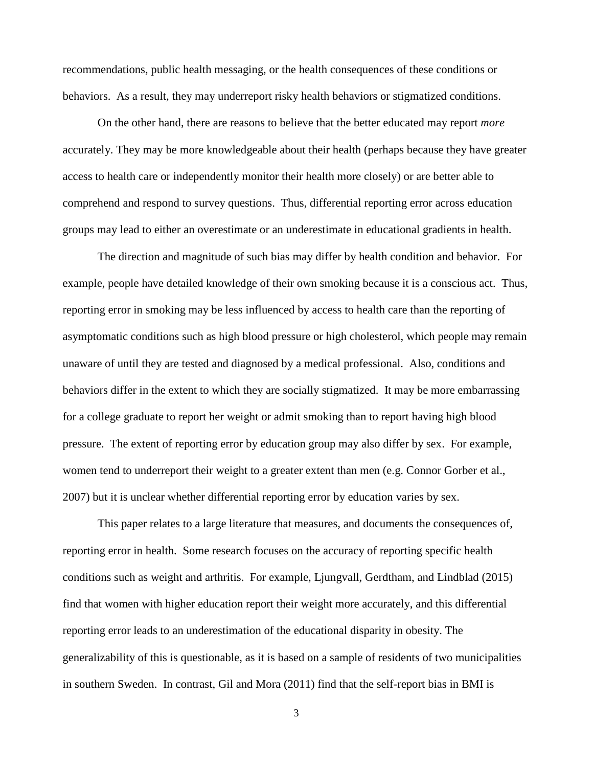recommendations, public health messaging, or the health consequences of these conditions or behaviors. As a result, they may underreport risky health behaviors or stigmatized conditions.

On the other hand, there are reasons to believe that the better educated may report *more*  accurately. They may be more knowledgeable about their health (perhaps because they have greater access to health care or independently monitor their health more closely) or are better able to comprehend and respond to survey questions. Thus, differential reporting error across education groups may lead to either an overestimate or an underestimate in educational gradients in health.

The direction and magnitude of such bias may differ by health condition and behavior. For example, people have detailed knowledge of their own smoking because it is a conscious act. Thus, reporting error in smoking may be less influenced by access to health care than the reporting of asymptomatic conditions such as high blood pressure or high cholesterol, which people may remain unaware of until they are tested and diagnosed by a medical professional. Also, conditions and behaviors differ in the extent to which they are socially stigmatized. It may be more embarrassing for a college graduate to report her weight or admit smoking than to report having high blood pressure. The extent of reporting error by education group may also differ by sex. For example, women tend to underreport their weight to a greater extent than men (e.g. Connor Gorber et al., 2007) but it is unclear whether differential reporting error by education varies by sex.

This paper relates to a large literature that measures, and documents the consequences of, reporting error in health. Some research focuses on the accuracy of reporting specific health conditions such as weight and arthritis. For example, Ljungvall, Gerdtham, and Lindblad (2015) find that women with higher education report their weight more accurately, and this differential reporting error leads to an underestimation of the educational disparity in obesity. The generalizability of this is questionable, as it is based on a sample of residents of two municipalities in southern Sweden. In contrast, Gil and Mora (2011) find that the self-report bias in BMI is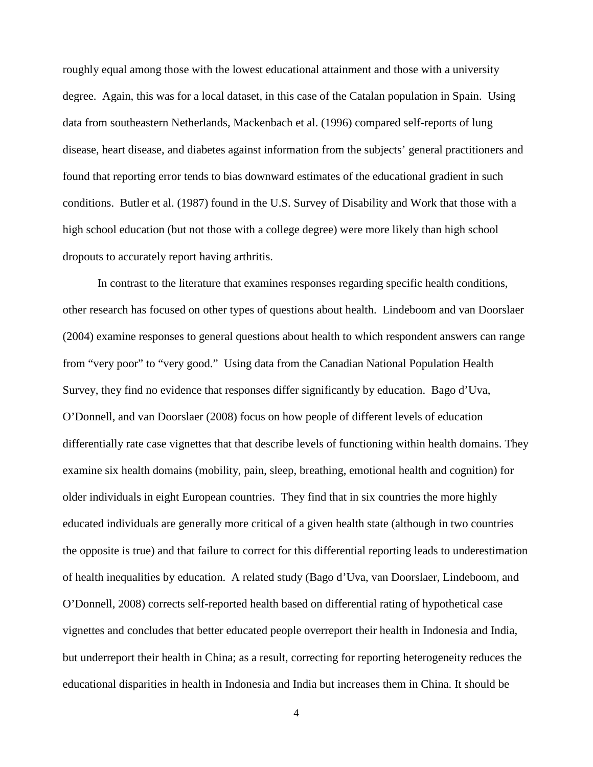roughly equal among those with the lowest educational attainment and those with a university degree. Again, this was for a local dataset, in this case of the Catalan population in Spain. Using data from southeastern Netherlands, Mackenbach et al. (1996) compared self-reports of lung disease, heart disease, and diabetes against information from the subjects' general practitioners and found that reporting error tends to bias downward estimates of the educational gradient in such conditions. Butler et al. (1987) found in the U.S. Survey of Disability and Work that those with a high school education (but not those with a college degree) were more likely than high school dropouts to accurately report having arthritis.

In contrast to the literature that examines responses regarding specific health conditions, other research has focused on other types of questions about health. Lindeboom and van Doorslaer (2004) examine responses to general questions about health to which respondent answers can range from "very poor" to "very good." Using data from the Canadian National Population Health Survey, they find no evidence that responses differ significantly by education. Bago d'Uva, O'Donnell, and van Doorslaer (2008) focus on how people of different levels of education differentially rate case vignettes that that describe levels of functioning within health domains. They examine six health domains (mobility, pain, sleep, breathing, emotional health and cognition) for older individuals in eight European countries. They find that in six countries the more highly educated individuals are generally more critical of a given health state (although in two countries the opposite is true) and that failure to correct for this differential reporting leads to underestimation of health inequalities by education. A related study (Bago d'Uva, van Doorslaer, Lindeboom, and O'Donnell, 2008) corrects self-reported health based on differential rating of hypothetical case vignettes and concludes that better educated people overreport their health in Indonesia and India, but underreport their health in China; as a result, correcting for reporting heterogeneity reduces the educational disparities in health in Indonesia and India but increases them in China. It should be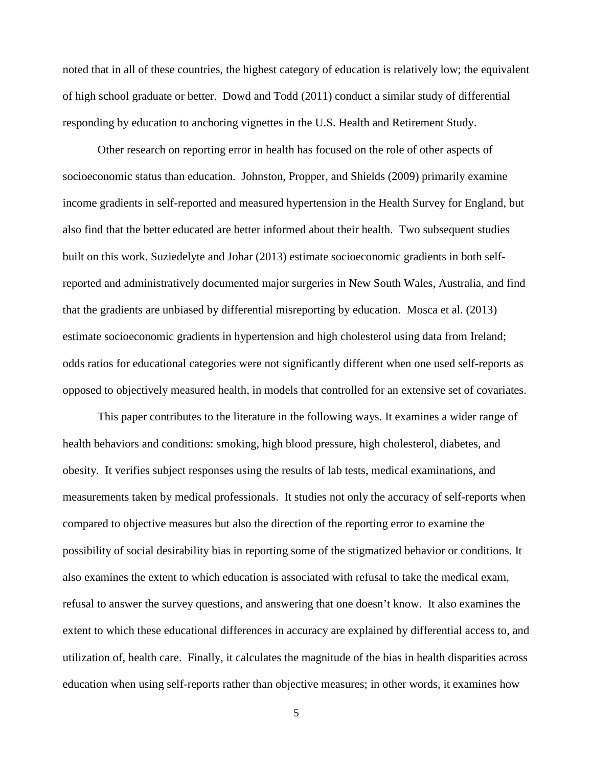noted that in all of these countries, the highest category of education is relatively low; the equivalent of high school graduate or better. Dowd and Todd (2011) conduct a similar study of differential responding by education to anchoring vignettes in the U.S. Health and Retirement Study.

Other research on reporting error in health has focused on the role of other aspects of socioeconomic status than education. Johnston, Propper, and Shields (2009) primarily examine income gradients in self-reported and measured hypertension in the Health Survey for England, but also find that the better educated are better informed about their health. Two subsequent studies built on this work. Suziedelyte and Johar (2013) estimate socioeconomic gradients in both selfreported and administratively documented major surgeries in New South Wales, Australia, and find that the gradients are unbiased by differential misreporting by education. Mosca et al. (2013) estimate socioeconomic gradients in hypertension and high cholesterol using data from Ireland; odds ratios for educational categories were not significantly different when one used self-reports as opposed to objectively measured health, in models that controlled for an extensive set of covariates.

This paper contributes to the literature in the following ways. It examines a wider range of health behaviors and conditions: smoking, high blood pressure, high cholesterol, diabetes, and obesity. It verifies subject responses using the results of lab tests, medical examinations, and measurements taken by medical professionals. It studies not only the accuracy of self-reports when compared to objective measures but also the direction of the reporting error to examine the possibility of social desirability bias in reporting some of the stigmatized behavior or conditions. It also examines the extent to which education is associated with refusal to take the medical exam, refusal to answer the survey questions, and answering that one doesn't know. It also examines the extent to which these educational differences in accuracy are explained by differential access to, and utilization of, health care. Finally, it calculates the magnitude of the bias in health disparities across education when using self-reports rather than objective measures; in other words, it examines how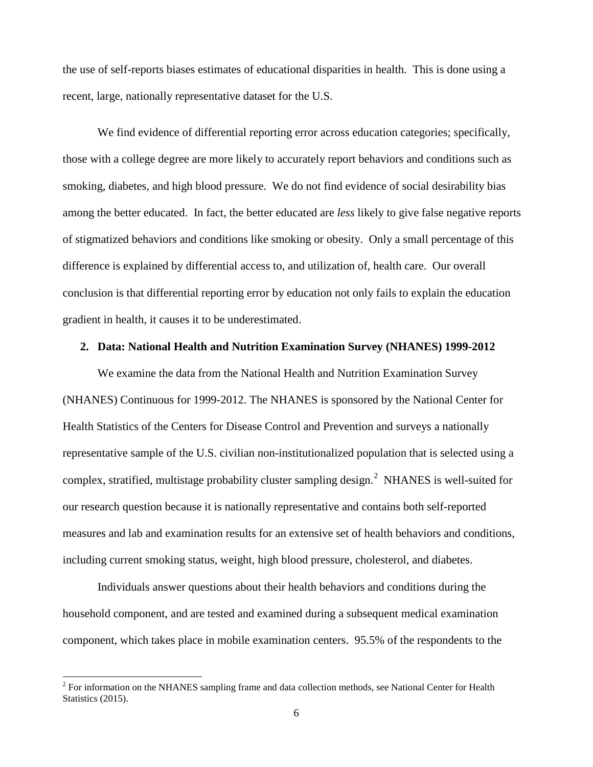the use of self-reports biases estimates of educational disparities in health. This is done using a recent, large, nationally representative dataset for the U.S.

We find evidence of differential reporting error across education categories; specifically, those with a college degree are more likely to accurately report behaviors and conditions such as smoking, diabetes, and high blood pressure. We do not find evidence of social desirability bias among the better educated. In fact, the better educated are *less* likely to give false negative reports of stigmatized behaviors and conditions like smoking or obesity. Only a small percentage of this difference is explained by differential access to, and utilization of, health care. Our overall conclusion is that differential reporting error by education not only fails to explain the education gradient in health, it causes it to be underestimated.

#### **2. Data: National Health and Nutrition Examination Survey (NHANES) 1999-2012**

We examine the data from the National Health and Nutrition Examination Survey (NHANES) Continuous for 1999-2012. The NHANES is sponsored by the National Center for Health Statistics of the Centers for Disease Control and Prevention and surveys a nationally representative sample of the U.S. civilian non-institutionalized population that is selected using a complex, stratified, multistage probability cluster sampling design.<sup>[2](#page-7-0)</sup> NHANES is well-suited for our research question because it is nationally representative and contains both self-reported measures and lab and examination results for an extensive set of health behaviors and conditions, including current smoking status, weight, high blood pressure, cholesterol, and diabetes.

Individuals answer questions about their health behaviors and conditions during the household component, and are tested and examined during a subsequent medical examination component, which takes place in mobile examination centers. 95.5% of the respondents to the

<span id="page-7-0"></span> $2$  For information on the NHANES sampling frame and data collection methods, see National Center for Health Statistics (2015).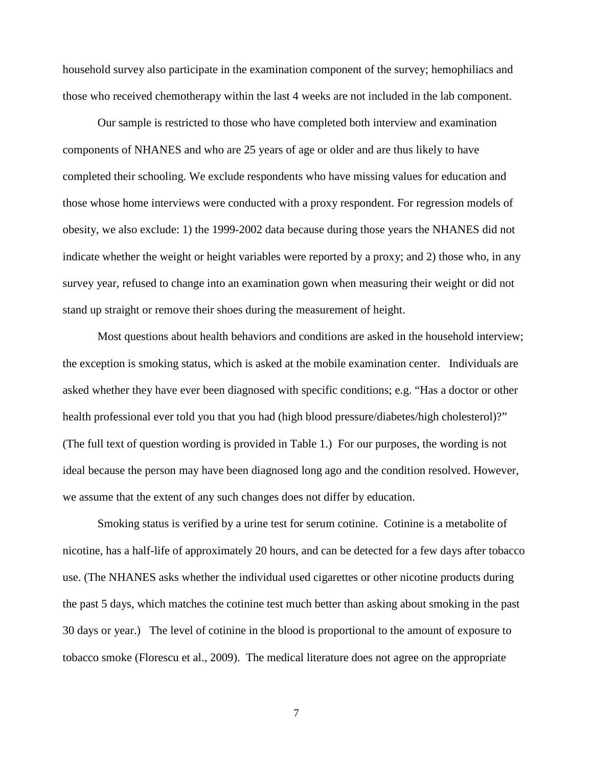household survey also participate in the examination component of the survey; hemophiliacs and those who received chemotherapy within the last 4 weeks are not included in the lab component.

Our sample is restricted to those who have completed both interview and examination components of NHANES and who are 25 years of age or older and are thus likely to have completed their schooling. We exclude respondents who have missing values for education and those whose home interviews were conducted with a proxy respondent. For regression models of obesity, we also exclude: 1) the 1999-2002 data because during those years the NHANES did not indicate whether the weight or height variables were reported by a proxy; and 2) those who, in any survey year, refused to change into an examination gown when measuring their weight or did not stand up straight or remove their shoes during the measurement of height.

Most questions about health behaviors and conditions are asked in the household interview; the exception is smoking status, which is asked at the mobile examination center. Individuals are asked whether they have ever been diagnosed with specific conditions; e.g. "Has a doctor or other health professional ever told you that you had (high blood pressure/diabetes/high cholesterol)?" (The full text of question wording is provided in Table 1.) For our purposes, the wording is not ideal because the person may have been diagnosed long ago and the condition resolved. However, we assume that the extent of any such changes does not differ by education.

Smoking status is verified by a urine test for serum cotinine. Cotinine is a metabolite of nicotine, has a half-life of approximately 20 hours, and can be detected for a few days after tobacco use. (The NHANES asks whether the individual used cigarettes or other nicotine products during the past 5 days, which matches the cotinine test much better than asking about smoking in the past 30 days or year.) The level of cotinine in the blood is proportional to the amount of exposure to tobacco smoke (Florescu et al., 2009). The medical literature does not agree on the appropriate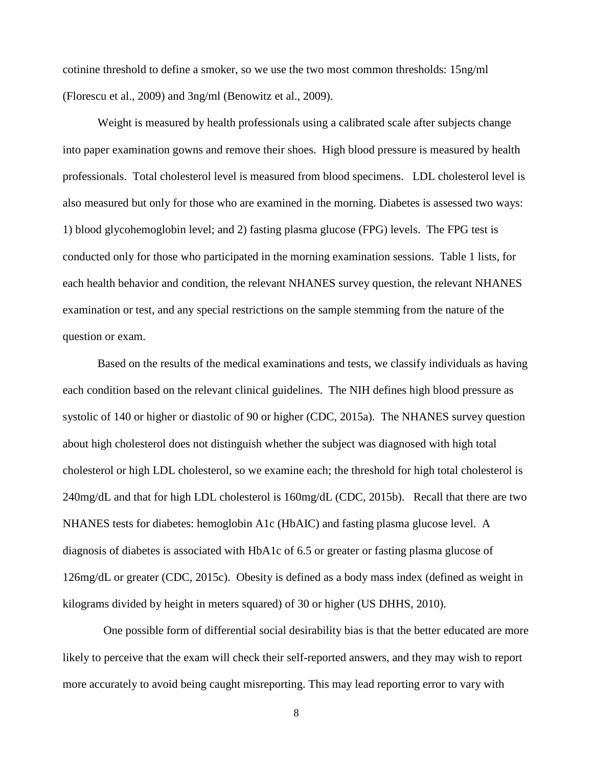cotinine threshold to define a smoker, so we use the two most common thresholds: 15ng/ml (Florescu et al., 2009) and 3ng/ml (Benowitz et al., 2009).

Weight is measured by health professionals using a calibrated scale after subjects change into paper examination gowns and remove their shoes. High blood pressure is measured by health professionals. Total cholesterol level is measured from blood specimens. LDL cholesterol level is also measured but only for those who are examined in the morning. Diabetes is assessed two ways: 1) blood glycohemoglobin level; and 2) fasting plasma glucose (FPG) levels. The FPG test is conducted only for those who participated in the morning examination sessions. Table 1 lists, for each health behavior and condition, the relevant NHANES survey question, the relevant NHANES examination or test, and any special restrictions on the sample stemming from the nature of the question or exam.

Based on the results of the medical examinations and tests, we classify individuals as having each condition based on the relevant clinical guidelines. The NIH defines high blood pressure as systolic of 140 or higher or diastolic of 90 or higher (CDC, 2015a). The NHANES survey question about high cholesterol does not distinguish whether the subject was diagnosed with high total cholesterol or high LDL cholesterol, so we examine each; the threshold for high total cholesterol is 240mg/dL and that for high LDL cholesterol is 160mg/dL (CDC, 2015b). Recall that there are two NHANES tests for diabetes: hemoglobin A1c (HbAIC) and fasting plasma glucose level. A diagnosis of diabetes is associated with HbA1c of 6.5 or greater or fasting plasma glucose of 126mg/dL or greater (CDC, 2015c). Obesity is defined as a body mass index (defined as weight in kilograms divided by height in meters squared) of 30 or higher (US DHHS, 2010).

 One possible form of differential social desirability bias is that the better educated are more likely to perceive that the exam will check their self-reported answers, and they may wish to report more accurately to avoid being caught misreporting. This may lead reporting error to vary with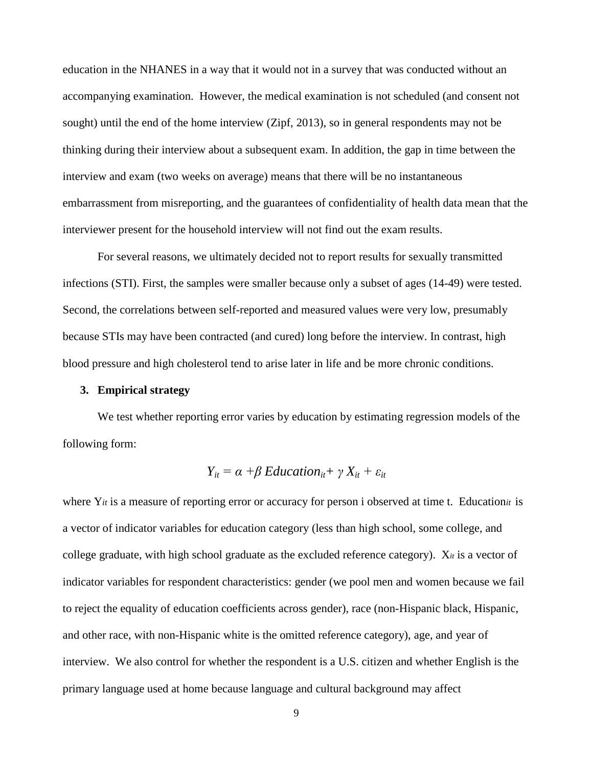education in the NHANES in a way that it would not in a survey that was conducted without an accompanying examination. However, the medical examination is not scheduled (and consent not sought) until the end of the home interview (Zipf, 2013), so in general respondents may not be thinking during their interview about a subsequent exam. In addition, the gap in time between the interview and exam (two weeks on average) means that there will be no instantaneous embarrassment from misreporting, and the guarantees of confidentiality of health data mean that the interviewer present for the household interview will not find out the exam results.

For several reasons, we ultimately decided not to report results for sexually transmitted infections (STI). First, the samples were smaller because only a subset of ages (14-49) were tested. Second, the correlations between self-reported and measured values were very low, presumably because STIs may have been contracted (and cured) long before the interview. In contrast, high blood pressure and high cholesterol tend to arise later in life and be more chronic conditions.

#### **3. Empirical strategy**

We test whether reporting error varies by education by estimating regression models of the following form:

$$
Y_{it} = \alpha + \beta \, Education_{it} + \gamma \, X_{it} + \varepsilon_{it}
$$

where Y*it* is a measure of reporting error or accuracy for person i observed at time t. Education*it* is a vector of indicator variables for education category (less than high school, some college, and college graduate, with high school graduate as the excluded reference category). X*it* is a vector of indicator variables for respondent characteristics: gender (we pool men and women because we fail to reject the equality of education coefficients across gender), race (non-Hispanic black, Hispanic, and other race, with non-Hispanic white is the omitted reference category), age, and year of interview. We also control for whether the respondent is a U.S. citizen and whether English is the primary language used at home because language and cultural background may affect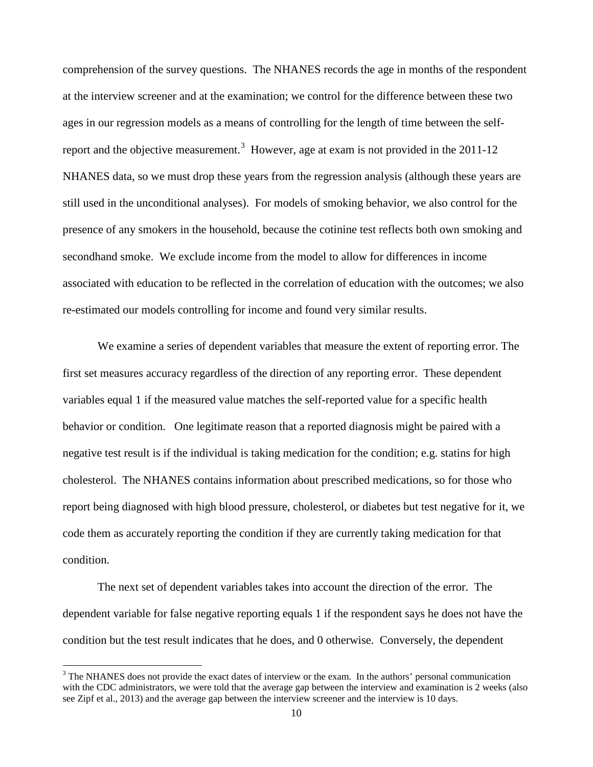comprehension of the survey questions. The NHANES records the age in months of the respondent at the interview screener and at the examination; we control for the difference between these two ages in our regression models as a means of controlling for the length of time between the self-report and the objective measurement.<sup>[3](#page-11-0)</sup> However, age at exam is not provided in the 2011-12 NHANES data, so we must drop these years from the regression analysis (although these years are still used in the unconditional analyses). For models of smoking behavior, we also control for the presence of any smokers in the household, because the cotinine test reflects both own smoking and secondhand smoke. We exclude income from the model to allow for differences in income associated with education to be reflected in the correlation of education with the outcomes; we also re-estimated our models controlling for income and found very similar results.

We examine a series of dependent variables that measure the extent of reporting error. The first set measures accuracy regardless of the direction of any reporting error. These dependent variables equal 1 if the measured value matches the self-reported value for a specific health behavior or condition. One legitimate reason that a reported diagnosis might be paired with a negative test result is if the individual is taking medication for the condition; e.g. statins for high cholesterol. The NHANES contains information about prescribed medications, so for those who report being diagnosed with high blood pressure, cholesterol, or diabetes but test negative for it, we code them as accurately reporting the condition if they are currently taking medication for that condition.

The next set of dependent variables takes into account the direction of the error. The dependent variable for false negative reporting equals 1 if the respondent says he does not have the condition but the test result indicates that he does, and 0 otherwise. Conversely, the dependent

<span id="page-11-0"></span> $3$  The NHANES does not provide the exact dates of interview or the exam. In the authors' personal communication with the CDC administrators, we were told that the average gap between the interview and examination is 2 weeks (also see Zipf et al., 2013) and the average gap between the interview screener and the interview is 10 days.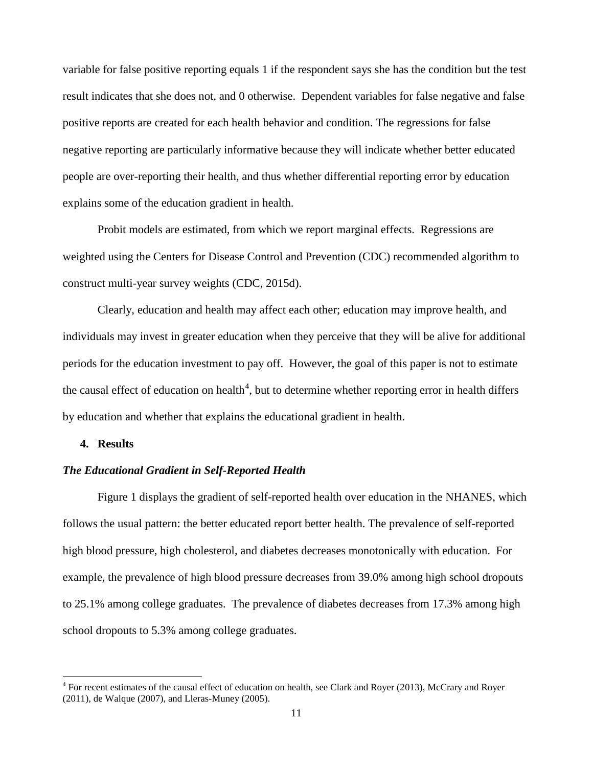variable for false positive reporting equals 1 if the respondent says she has the condition but the test result indicates that she does not, and 0 otherwise. Dependent variables for false negative and false positive reports are created for each health behavior and condition. The regressions for false negative reporting are particularly informative because they will indicate whether better educated people are over-reporting their health, and thus whether differential reporting error by education explains some of the education gradient in health.

Probit models are estimated, from which we report marginal effects. Regressions are weighted using the Centers for Disease Control and Prevention (CDC) recommended algorithm to construct multi-year survey weights (CDC, 2015d).

Clearly, education and health may affect each other; education may improve health, and individuals may invest in greater education when they perceive that they will be alive for additional periods for the education investment to pay off. However, the goal of this paper is not to estimate the causal effect of education on health<sup>[4](#page-12-0)</sup>, but to determine whether reporting error in health differs by education and whether that explains the educational gradient in health.

#### **4. Results**

#### *The Educational Gradient in Self-Reported Health*

Figure 1 displays the gradient of self-reported health over education in the NHANES, which follows the usual pattern: the better educated report better health. The prevalence of self-reported high blood pressure, high cholesterol, and diabetes decreases monotonically with education. For example, the prevalence of high blood pressure decreases from 39.0% among high school dropouts to 25.1% among college graduates. The prevalence of diabetes decreases from 17.3% among high school dropouts to 5.3% among college graduates.

<span id="page-12-0"></span> $4$  For recent estimates of the causal effect of education on health, see Clark and Royer (2013), McCrary and Royer (2011), de Walque (2007), and Lleras-Muney (2005).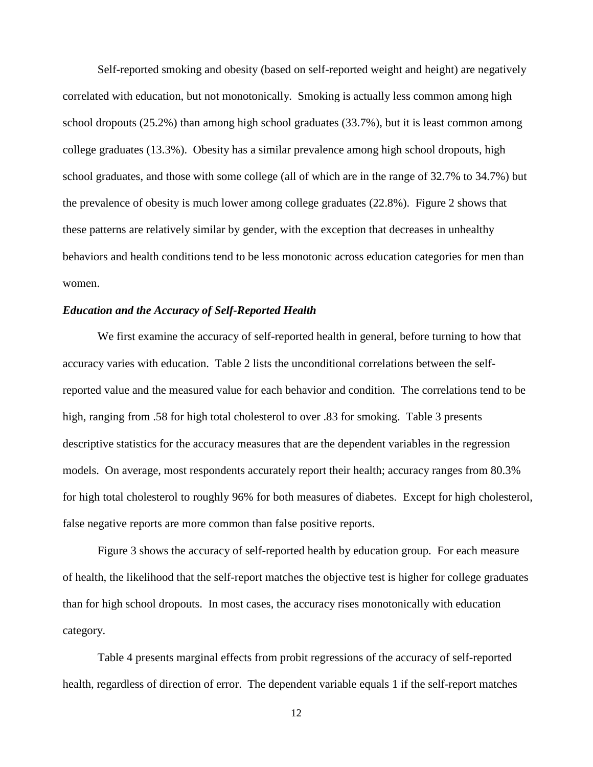Self-reported smoking and obesity (based on self-reported weight and height) are negatively correlated with education, but not monotonically. Smoking is actually less common among high school dropouts (25.2%) than among high school graduates (33.7%), but it is least common among college graduates (13.3%). Obesity has a similar prevalence among high school dropouts, high school graduates, and those with some college (all of which are in the range of 32.7% to 34.7%) but the prevalence of obesity is much lower among college graduates (22.8%). Figure 2 shows that these patterns are relatively similar by gender, with the exception that decreases in unhealthy behaviors and health conditions tend to be less monotonic across education categories for men than women.

#### *Education and the Accuracy of Self-Reported Health*

We first examine the accuracy of self-reported health in general, before turning to how that accuracy varies with education. Table 2 lists the unconditional correlations between the selfreported value and the measured value for each behavior and condition. The correlations tend to be high, ranging from .58 for high total cholesterol to over .83 for smoking. Table 3 presents descriptive statistics for the accuracy measures that are the dependent variables in the regression models. On average, most respondents accurately report their health; accuracy ranges from 80.3% for high total cholesterol to roughly 96% for both measures of diabetes. Except for high cholesterol, false negative reports are more common than false positive reports.

Figure 3 shows the accuracy of self-reported health by education group. For each measure of health, the likelihood that the self-report matches the objective test is higher for college graduates than for high school dropouts. In most cases, the accuracy rises monotonically with education category.

Table 4 presents marginal effects from probit regressions of the accuracy of self-reported health, regardless of direction of error. The dependent variable equals 1 if the self-report matches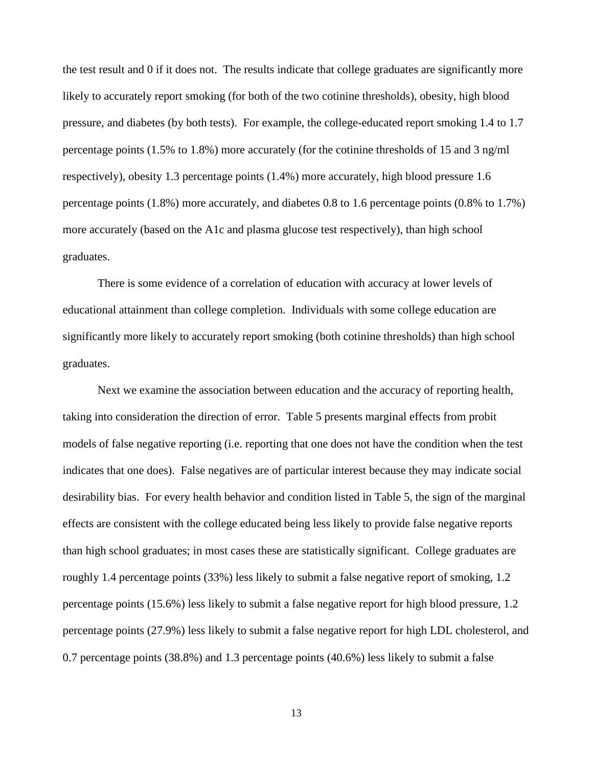the test result and 0 if it does not. The results indicate that college graduates are significantly more likely to accurately report smoking (for both of the two cotinine thresholds), obesity, high blood pressure, and diabetes (by both tests). For example, the college-educated report smoking 1.4 to 1.7 percentage points (1.5% to 1.8%) more accurately (for the cotinine thresholds of 15 and 3 ng/ml respectively), obesity 1.3 percentage points (1.4%) more accurately, high blood pressure 1.6 percentage points (1.8%) more accurately, and diabetes 0.8 to 1.6 percentage points (0.8% to 1.7%) more accurately (based on the A1c and plasma glucose test respectively), than high school graduates.

There is some evidence of a correlation of education with accuracy at lower levels of educational attainment than college completion. Individuals with some college education are significantly more likely to accurately report smoking (both cotinine thresholds) than high school graduates.

Next we examine the association between education and the accuracy of reporting health, taking into consideration the direction of error. Table 5 presents marginal effects from probit models of false negative reporting (i.e. reporting that one does not have the condition when the test indicates that one does). False negatives are of particular interest because they may indicate social desirability bias. For every health behavior and condition listed in Table 5, the sign of the marginal effects are consistent with the college educated being less likely to provide false negative reports than high school graduates; in most cases these are statistically significant. College graduates are roughly 1.4 percentage points (33%) less likely to submit a false negative report of smoking, 1.2 percentage points (15.6%) less likely to submit a false negative report for high blood pressure, 1.2 percentage points (27.9%) less likely to submit a false negative report for high LDL cholesterol, and 0.7 percentage points (38.8%) and 1.3 percentage points (40.6%) less likely to submit a false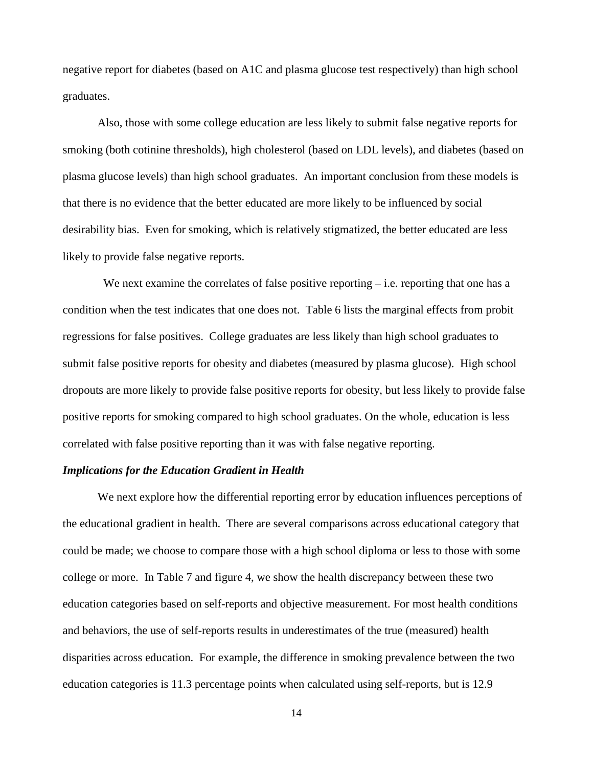negative report for diabetes (based on A1C and plasma glucose test respectively) than high school graduates.

Also, those with some college education are less likely to submit false negative reports for smoking (both cotinine thresholds), high cholesterol (based on LDL levels), and diabetes (based on plasma glucose levels) than high school graduates. An important conclusion from these models is that there is no evidence that the better educated are more likely to be influenced by social desirability bias. Even for smoking, which is relatively stigmatized, the better educated are less likely to provide false negative reports.

We next examine the correlates of false positive reporting  $-$  i.e. reporting that one has a condition when the test indicates that one does not. Table 6 lists the marginal effects from probit regressions for false positives. College graduates are less likely than high school graduates to submit false positive reports for obesity and diabetes (measured by plasma glucose). High school dropouts are more likely to provide false positive reports for obesity, but less likely to provide false positive reports for smoking compared to high school graduates. On the whole, education is less correlated with false positive reporting than it was with false negative reporting.

#### *Implications for the Education Gradient in Health*

We next explore how the differential reporting error by education influences perceptions of the educational gradient in health. There are several comparisons across educational category that could be made; we choose to compare those with a high school diploma or less to those with some college or more. In Table 7 and figure 4, we show the health discrepancy between these two education categories based on self-reports and objective measurement. For most health conditions and behaviors, the use of self-reports results in underestimates of the true (measured) health disparities across education. For example, the difference in smoking prevalence between the two education categories is 11.3 percentage points when calculated using self-reports, but is 12.9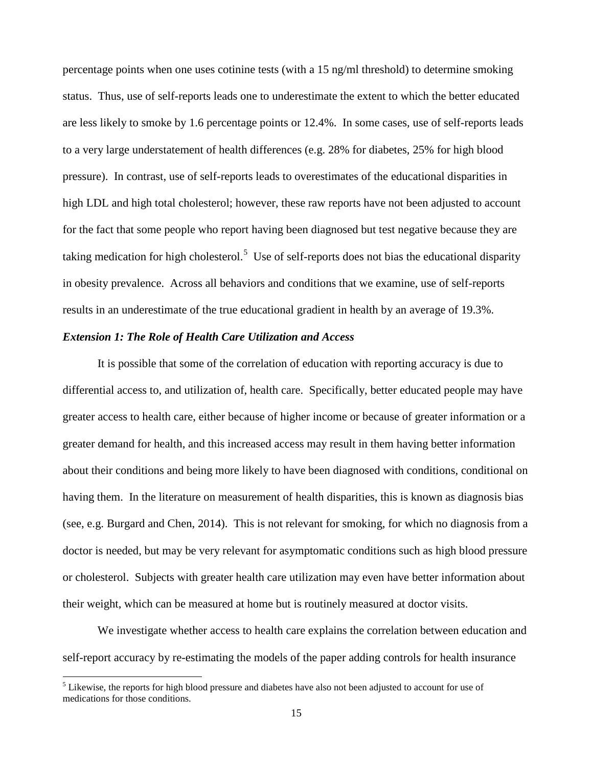percentage points when one uses cotinine tests (with a 15 ng/ml threshold) to determine smoking status. Thus, use of self-reports leads one to underestimate the extent to which the better educated are less likely to smoke by 1.6 percentage points or 12.4%. In some cases, use of self-reports leads to a very large understatement of health differences (e.g. 28% for diabetes, 25% for high blood pressure). In contrast, use of self-reports leads to overestimates of the educational disparities in high LDL and high total cholesterol; however, these raw reports have not been adjusted to account for the fact that some people who report having been diagnosed but test negative because they are taking medication for high cholesterol.<sup>[5](#page-16-0)</sup> Use of self-reports does not bias the educational disparity in obesity prevalence. Across all behaviors and conditions that we examine, use of self-reports results in an underestimate of the true educational gradient in health by an average of 19.3%.

#### *Extension 1: The Role of Health Care Utilization and Access*

It is possible that some of the correlation of education with reporting accuracy is due to differential access to, and utilization of, health care. Specifically, better educated people may have greater access to health care, either because of higher income or because of greater information or a greater demand for health, and this increased access may result in them having better information about their conditions and being more likely to have been diagnosed with conditions, conditional on having them. In the literature on measurement of health disparities, this is known as diagnosis bias (see, e.g. Burgard and Chen, 2014). This is not relevant for smoking, for which no diagnosis from a doctor is needed, but may be very relevant for asymptomatic conditions such as high blood pressure or cholesterol. Subjects with greater health care utilization may even have better information about their weight, which can be measured at home but is routinely measured at doctor visits.

We investigate whether access to health care explains the correlation between education and self-report accuracy by re-estimating the models of the paper adding controls for health insurance

<span id="page-16-0"></span><sup>&</sup>lt;sup>5</sup> Likewise, the reports for high blood pressure and diabetes have also not been adjusted to account for use of medications for those conditions.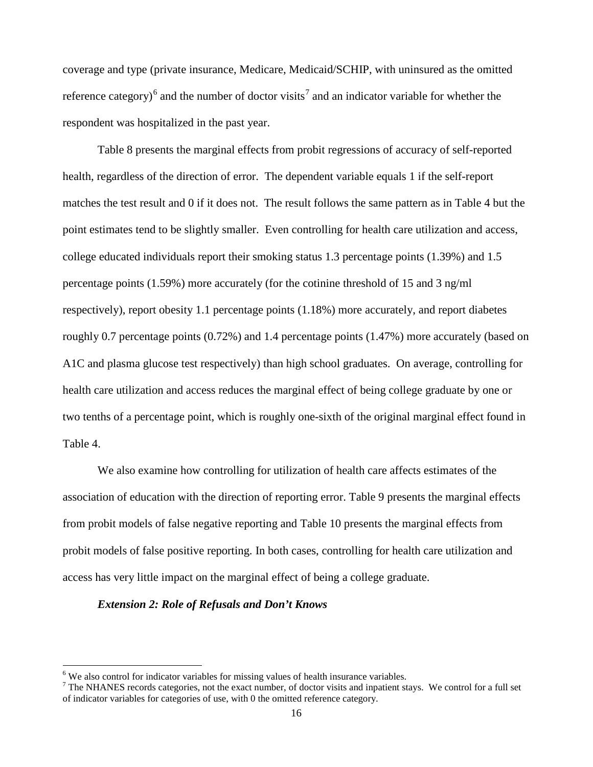coverage and type (private insurance, Medicare, Medicaid/SCHIP, with uninsured as the omitted reference category)<sup>[6](#page-17-0)</sup> and the number of doctor visits<sup>[7](#page-17-1)</sup> and an indicator variable for whether the respondent was hospitalized in the past year.

Table 8 presents the marginal effects from probit regressions of accuracy of self-reported health, regardless of the direction of error. The dependent variable equals 1 if the self-report matches the test result and 0 if it does not. The result follows the same pattern as in Table 4 but the point estimates tend to be slightly smaller. Even controlling for health care utilization and access, college educated individuals report their smoking status 1.3 percentage points (1.39%) and 1.5 percentage points (1.59%) more accurately (for the cotinine threshold of 15 and 3 ng/ml respectively), report obesity 1.1 percentage points (1.18%) more accurately, and report diabetes roughly 0.7 percentage points (0.72%) and 1.4 percentage points (1.47%) more accurately (based on A1C and plasma glucose test respectively) than high school graduates. On average, controlling for health care utilization and access reduces the marginal effect of being college graduate by one or two tenths of a percentage point, which is roughly one-sixth of the original marginal effect found in Table 4.

We also examine how controlling for utilization of health care affects estimates of the association of education with the direction of reporting error. Table 9 presents the marginal effects from probit models of false negative reporting and Table 10 presents the marginal effects from probit models of false positive reporting. In both cases, controlling for health care utilization and access has very little impact on the marginal effect of being a college graduate.

#### *Extension 2: Role of Refusals and Don't Knows*

<span id="page-17-1"></span><span id="page-17-0"></span><sup>&</sup>lt;sup>6</sup> We also control for indicator variables for missing values of health insurance variables.<br><sup>7</sup> The NHANES records categories, not the exact number, of doctor visits and inpatient stays. We control for a full set of indicator variables for categories of use, with 0 the omitted reference category.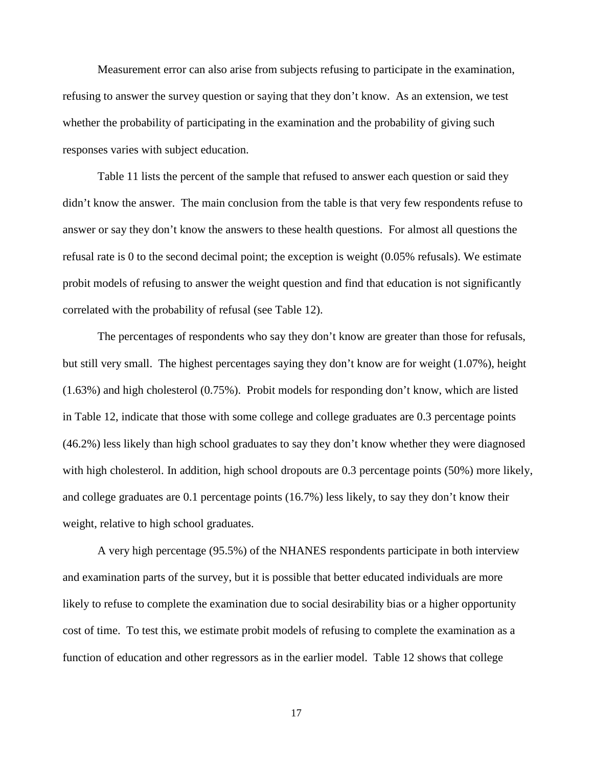Measurement error can also arise from subjects refusing to participate in the examination, refusing to answer the survey question or saying that they don't know. As an extension, we test whether the probability of participating in the examination and the probability of giving such responses varies with subject education.

Table 11 lists the percent of the sample that refused to answer each question or said they didn't know the answer. The main conclusion from the table is that very few respondents refuse to answer or say they don't know the answers to these health questions. For almost all questions the refusal rate is 0 to the second decimal point; the exception is weight (0.05% refusals). We estimate probit models of refusing to answer the weight question and find that education is not significantly correlated with the probability of refusal (see Table 12).

The percentages of respondents who say they don't know are greater than those for refusals, but still very small. The highest percentages saying they don't know are for weight (1.07%), height (1.63%) and high cholesterol (0.75%). Probit models for responding don't know, which are listed in Table 12, indicate that those with some college and college graduates are 0.3 percentage points (46.2%) less likely than high school graduates to say they don't know whether they were diagnosed with high cholesterol. In addition, high school dropouts are 0.3 percentage points (50%) more likely, and college graduates are 0.1 percentage points (16.7%) less likely, to say they don't know their weight, relative to high school graduates.

A very high percentage (95.5%) of the NHANES respondents participate in both interview and examination parts of the survey, but it is possible that better educated individuals are more likely to refuse to complete the examination due to social desirability bias or a higher opportunity cost of time. To test this, we estimate probit models of refusing to complete the examination as a function of education and other regressors as in the earlier model. Table 12 shows that college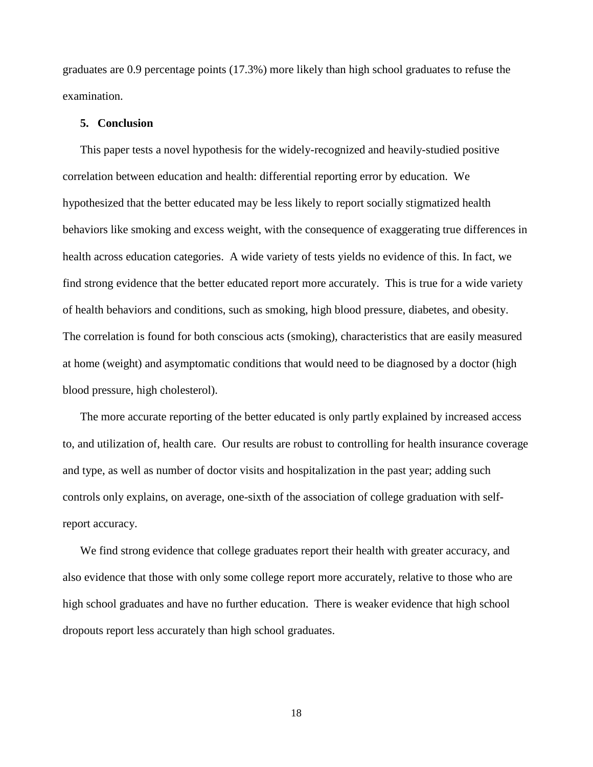graduates are 0.9 percentage points (17.3%) more likely than high school graduates to refuse the examination.

#### **5. Conclusion**

This paper tests a novel hypothesis for the widely-recognized and heavily-studied positive correlation between education and health: differential reporting error by education. We hypothesized that the better educated may be less likely to report socially stigmatized health behaviors like smoking and excess weight, with the consequence of exaggerating true differences in health across education categories. A wide variety of tests yields no evidence of this. In fact, we find strong evidence that the better educated report more accurately. This is true for a wide variety of health behaviors and conditions, such as smoking, high blood pressure, diabetes, and obesity. The correlation is found for both conscious acts (smoking), characteristics that are easily measured at home (weight) and asymptomatic conditions that would need to be diagnosed by a doctor (high blood pressure, high cholesterol).

The more accurate reporting of the better educated is only partly explained by increased access to, and utilization of, health care. Our results are robust to controlling for health insurance coverage and type, as well as number of doctor visits and hospitalization in the past year; adding such controls only explains, on average, one-sixth of the association of college graduation with selfreport accuracy.

We find strong evidence that college graduates report their health with greater accuracy, and also evidence that those with only some college report more accurately, relative to those who are high school graduates and have no further education. There is weaker evidence that high school dropouts report less accurately than high school graduates.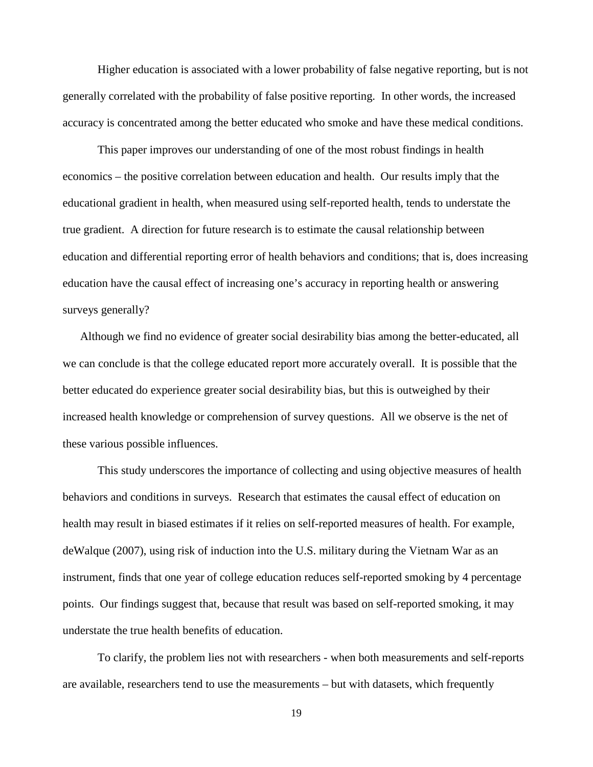Higher education is associated with a lower probability of false negative reporting, but is not generally correlated with the probability of false positive reporting. In other words, the increased accuracy is concentrated among the better educated who smoke and have these medical conditions.

This paper improves our understanding of one of the most robust findings in health economics – the positive correlation between education and health. Our results imply that the educational gradient in health, when measured using self-reported health, tends to understate the true gradient. A direction for future research is to estimate the causal relationship between education and differential reporting error of health behaviors and conditions; that is, does increasing education have the causal effect of increasing one's accuracy in reporting health or answering surveys generally?

Although we find no evidence of greater social desirability bias among the better-educated, all we can conclude is that the college educated report more accurately overall. It is possible that the better educated do experience greater social desirability bias, but this is outweighed by their increased health knowledge or comprehension of survey questions. All we observe is the net of these various possible influences.

This study underscores the importance of collecting and using objective measures of health behaviors and conditions in surveys. Research that estimates the causal effect of education on health may result in biased estimates if it relies on self-reported measures of health. For example, deWalque (2007), using risk of induction into the U.S. military during the Vietnam War as an instrument, finds that one year of college education reduces self-reported smoking by 4 percentage points. Our findings suggest that, because that result was based on self-reported smoking, it may understate the true health benefits of education.

To clarify, the problem lies not with researchers - when both measurements and self-reports are available, researchers tend to use the measurements – but with datasets, which frequently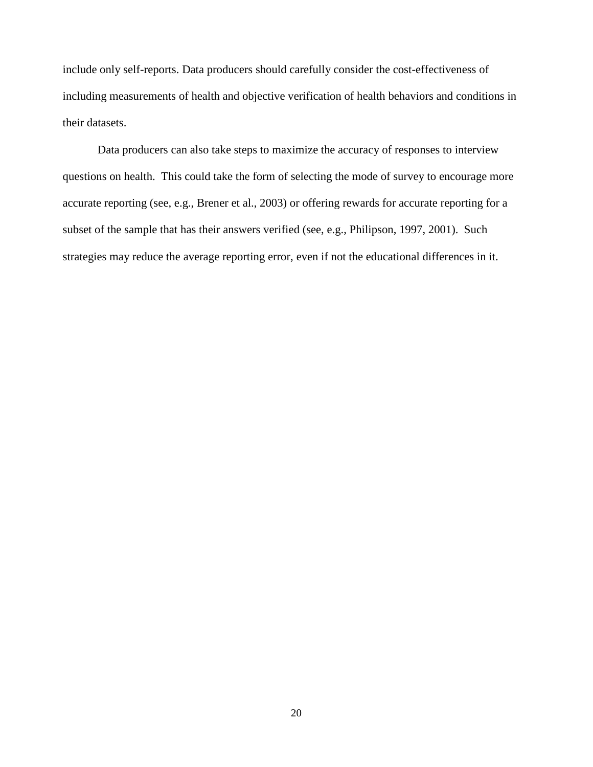include only self-reports. Data producers should carefully consider the cost-effectiveness of including measurements of health and objective verification of health behaviors and conditions in their datasets.

Data producers can also take steps to maximize the accuracy of responses to interview questions on health. This could take the form of selecting the mode of survey to encourage more accurate reporting (see, e.g., Brener et al., 2003) or offering rewards for accurate reporting for a subset of the sample that has their answers verified (see, e.g., Philipson, 1997, 2001). Such strategies may reduce the average reporting error, even if not the educational differences in it.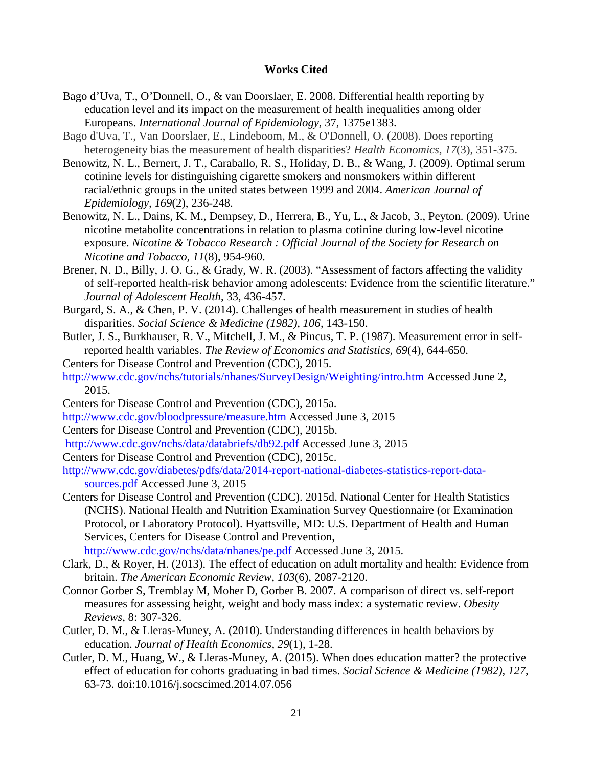#### **Works Cited**

- Bago d'Uva, T., O'Donnell, O., & van Doorslaer, E. 2008. Differential health reporting by education level and its impact on the measurement of health inequalities among older Europeans. *International Journal of Epidemiology*, 37, 1375e1383.
- Bago d'Uva, T., Van Doorslaer, E., Lindeboom, M., & O'Donnell, O. (2008). Does reporting heterogeneity bias the measurement of health disparities? *Health Economics, 17*(3), 351-375.
- Benowitz, N. L., Bernert, J. T., Caraballo, R. S., Holiday, D. B., & Wang, J. (2009). Optimal serum cotinine levels for distinguishing cigarette smokers and nonsmokers within different racial/ethnic groups in the united states between 1999 and 2004. *American Journal of Epidemiology, 169*(2), 236-248.
- Benowitz, N. L., Dains, K. M., Dempsey, D., Herrera, B., Yu, L., & Jacob, 3., Peyton. (2009). Urine nicotine metabolite concentrations in relation to plasma cotinine during low-level nicotine exposure. *Nicotine & Tobacco Research : Official Journal of the Society for Research on Nicotine and Tobacco, 11*(8), 954-960.
- Brener, N. D., Billy, J. O. G., & Grady, W. R. (2003). "Assessment of factors affecting the validity of self-reported health-risk behavior among adolescents: Evidence from the scientific literature." *Journal of Adolescent Health*, 33, 436-457.
- Burgard, S. A., & Chen, P. V. (2014). Challenges of health measurement in studies of health disparities. *Social Science & Medicine (1982), 106*, 143-150.
- Butler, J. S., Burkhauser, R. V., Mitchell, J. M., & Pincus, T. P. (1987). Measurement error in selfreported health variables. *The Review of Economics and Statistics, 69*(4), 644-650.
- Centers for Disease Control and Prevention (CDC), 2015.
- <http://www.cdc.gov/nchs/tutorials/nhanes/SurveyDesign/Weighting/intro.htm> Accessed June 2, 2015.
- Centers for Disease Control and Prevention (CDC), 2015a.
- <http://www.cdc.gov/bloodpressure/measure.htm> Accessed June 3, 2015
- Centers for Disease Control and Prevention (CDC), 2015b.
- <http://www.cdc.gov/nchs/data/databriefs/db92.pdf> Accessed June 3, 2015
- Centers for Disease Control and Prevention (CDC), 2015c.
- [http://www.cdc.gov/diabetes/pdfs/data/2014-report-national-diabetes-statistics-report-data](http://www.cdc.gov/diabetes/pdfs/data/2014-report-national-diabetes-statistics-report-data-sources.pdf)[sources.pdf](http://www.cdc.gov/diabetes/pdfs/data/2014-report-national-diabetes-statistics-report-data-sources.pdf) Accessed June 3, 2015
- Centers for Disease Control and Prevention (CDC). 2015d. National Center for Health Statistics (NCHS). National Health and Nutrition Examination Survey Questionnaire (or Examination Protocol, or Laboratory Protocol). Hyattsville, MD: U.S. Department of Health and Human Services, Centers for Disease Control and Prevention, <http://www.cdc.gov/nchs/data/nhanes/pe.pdf> Accessed June 3, 2015.
- Clark, D., & Royer, H. (2013). The effect of education on adult mortality and health: Evidence from britain. *The American Economic Review, 103*(6), 2087-2120.
- Connor Gorber S, Tremblay M, Moher D, Gorber B. 2007. A comparison of direct vs. self-report measures for assessing height, weight and body mass index: a systematic review. *Obesity Reviews*, 8: 307-326.
- Cutler, D. M., & Lleras-Muney, A. (2010). Understanding differences in health behaviors by education. *Journal of Health Economics, 29*(1), 1-28.
- Cutler, D. M., Huang, W., & Lleras-Muney, A. (2015). When does education matter? the protective effect of education for cohorts graduating in bad times. *Social Science & Medicine (1982), 127*, 63-73. doi:10.1016/j.socscimed.2014.07.056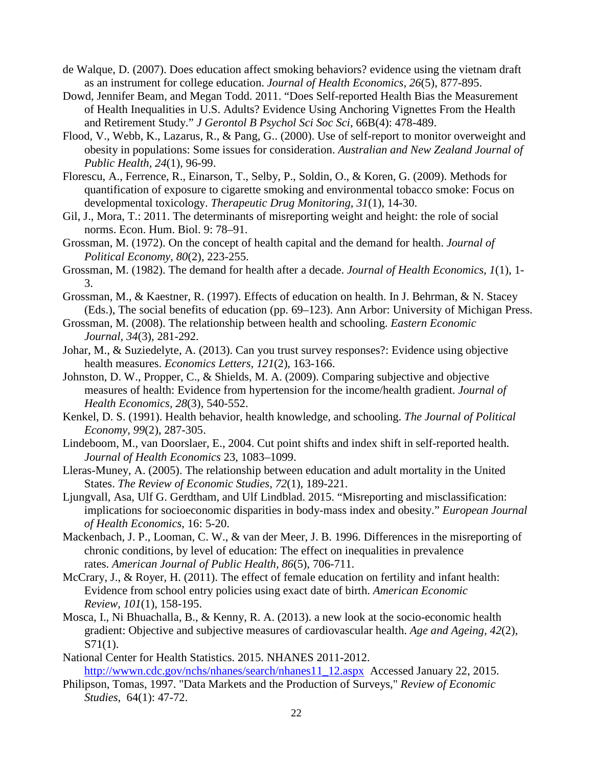- de Walque, D. (2007). Does education affect smoking behaviors? evidence using the vietnam draft as an instrument for college education. *Journal of Health Economics, 26*(5), 877-895.
- Dowd, Jennifer Beam, and Megan Todd. 2011. "Does Self-reported Health Bias the Measurement of Health Inequalities in U.S. Adults? Evidence Using Anchoring Vignettes From the Health and Retirement Study." *J Gerontol B Psychol Sci Soc Sci*, 66B(4): 478-489.
- Flood, V., Webb, K., Lazarus, R., & Pang, G.. (2000). Use of self-report to monitor overweight and obesity in populations: Some issues for consideration. *Australian and New Zealand Journal of Public Health, 24*(1), 96-99.
- Florescu, A., Ferrence, R., Einarson, T., Selby, P., Soldin, O., & Koren, G. (2009). Methods for quantification of exposure to cigarette smoking and environmental tobacco smoke: Focus on developmental toxicology. *Therapeutic Drug Monitoring, 31*(1), 14-30.
- Gil, J., Mora, T.: 2011. The determinants of misreporting weight and height: the role of social norms. Econ. Hum. Biol. 9: 78–91.
- Grossman, M. (1972). On the concept of health capital and the demand for health. *Journal of Political Economy, 80*(2), 223-255.
- Grossman, M. (1982). The demand for health after a decade. *Journal of Health Economics, 1*(1), 1- 3.
- Grossman, M., & Kaestner, R. (1997). Effects of education on health. In J. Behrman, & N. Stacey (Eds.), The social benefits of education (pp. 69–123). Ann Arbor: University of Michigan Press.
- Grossman, M. (2008). The relationship between health and schooling. *Eastern Economic Journal, 34*(3), 281-292.
- Johar, M., & Suziedelyte, A. (2013). Can you trust survey responses?: Evidence using objective health measures. *Economics Letters, 121*(2), 163-166.
- Johnston, D. W., Propper, C., & Shields, M. A. (2009). Comparing subjective and objective measures of health: Evidence from hypertension for the income/health gradient. *Journal of Health Economics, 28*(3), 540-552.
- Kenkel, D. S. (1991). Health behavior, health knowledge, and schooling. *The Journal of Political Economy, 99*(2), 287-305.
- Lindeboom, M., van Doorslaer, E., 2004. Cut point shifts and index shift in self-reported health. *Journal of Health Economics* 23, 1083–1099.
- Lleras-Muney, A. (2005). The relationship between education and adult mortality in the United States. *The Review of Economic Studies, 72*(1), 189-221.
- Ljungvall, Asa, Ulf G. Gerdtham, and Ulf Lindblad. 2015. "Misreporting and misclassification: implications for socioeconomic disparities in body-mass index and obesity." *European Journal of Health Economics*, 16: 5-20.
- Mackenbach, J. P., Looman, C. W., & van der Meer, J. B. 1996. Differences in the misreporting of chronic conditions, by level of education: The effect on inequalities in prevalence rates. *American Journal of Public Health, 86*(5), 706-711.
- McCrary, J., & Royer, H. (2011). The effect of female education on fertility and infant health: Evidence from school entry policies using exact date of birth. *American Economic Review, 101*(1), 158-195.
- Mosca, I., Ni Bhuachalla, B., & Kenny, R. A. (2013). a new look at the socio-economic health gradient: Objective and subjective measures of cardiovascular health. *Age and Ageing, 42*(2), S71(1).
- National Center for Health Statistics. 2015. NHANES 2011-2012. [http://wwwn.cdc.gov/nchs/nhanes/search/nhanes11\\_12.aspx](http://wwwn.cdc.gov/nchs/nhanes/search/nhanes11_12.aspx) Accessed January 22, 2015.
- Philipson, Tomas, 1997. "Data Markets and the Production of Surveys," *Review of Economic Studies*, 64(1): 47-72.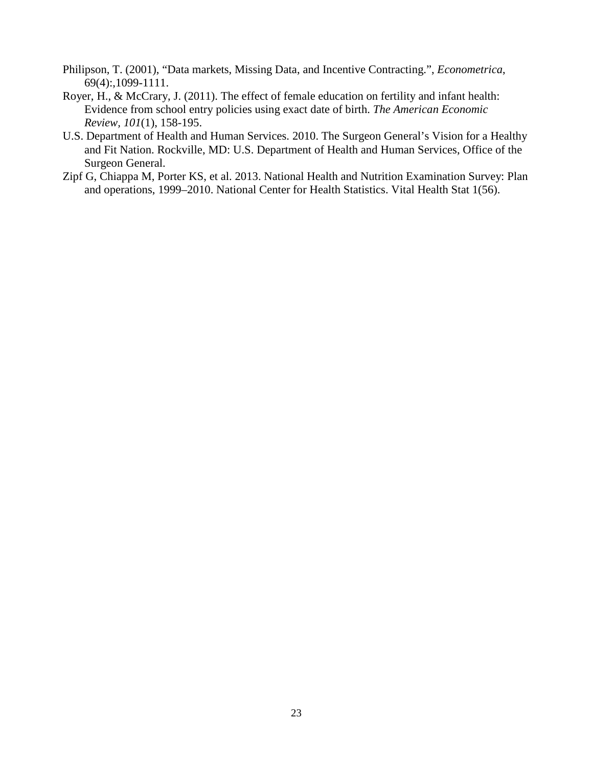- Philipson, T. (2001), "Data markets, Missing Data, and Incentive Contracting.", *Econometrica*, 69(4):,1099-1111.
- Royer, H., & McCrary, J. (2011). The effect of female education on fertility and infant health: Evidence from school entry policies using exact date of birth. *The American Economic Review, 101*(1), 158-195.
- U.S. Department of Health and Human Services. 2010. The Surgeon General's Vision for a Healthy and Fit Nation. Rockville, MD: U.S. Department of Health and Human Services, Office of the Surgeon General.
- Zipf G, Chiappa M, Porter KS, et al. 2013. National Health and Nutrition Examination Survey: Plan and operations, 1999–2010. National Center for Health Statistics. Vital Health Stat 1(56).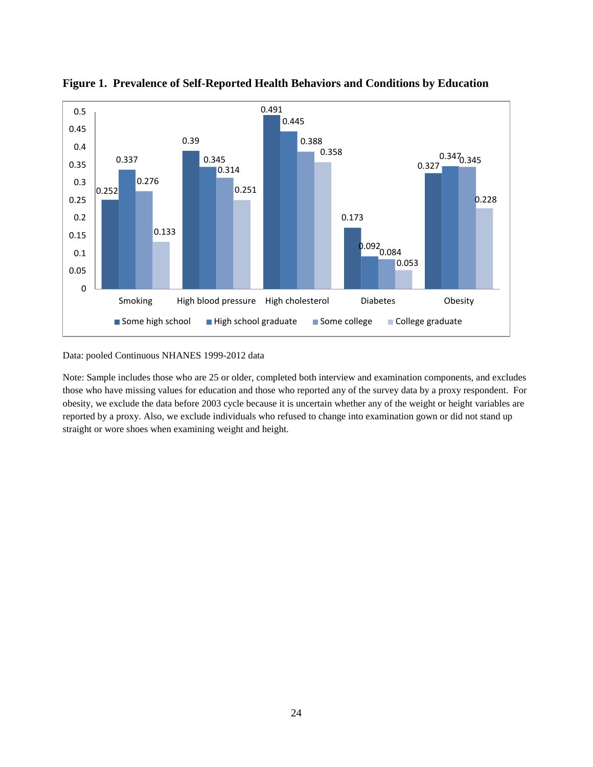

**Figure 1. Prevalence of Self-Reported Health Behaviors and Conditions by Education**

Data: pooled Continuous NHANES 1999-2012 data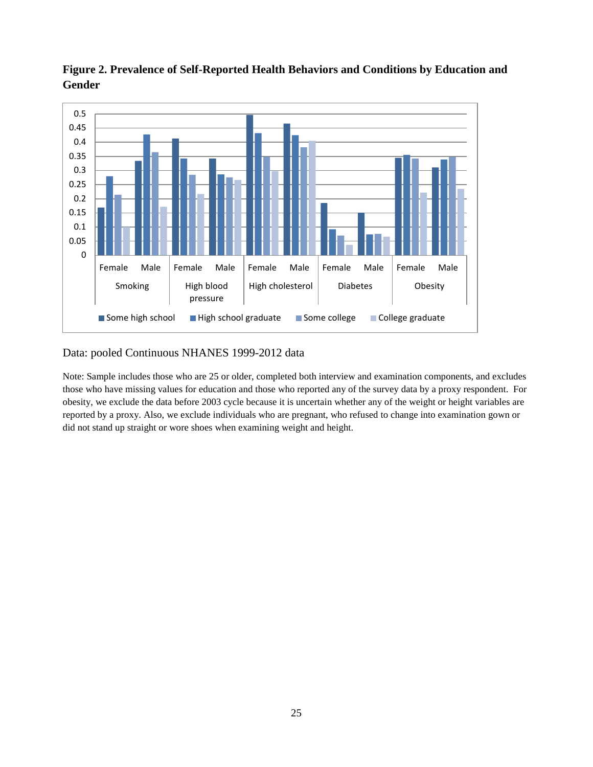

**Figure 2. Prevalence of Self-Reported Health Behaviors and Conditions by Education and Gender**

#### Data: pooled Continuous NHANES 1999-2012 data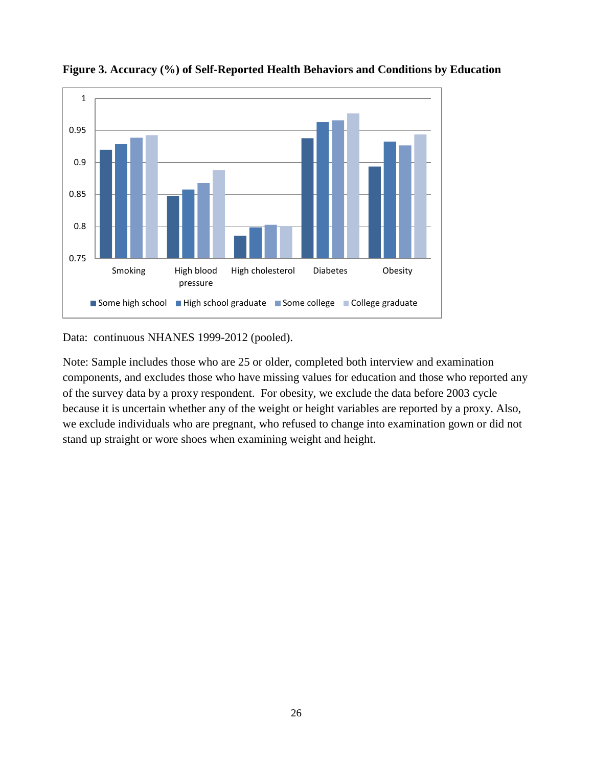

**Figure 3. Accuracy (%) of Self-Reported Health Behaviors and Conditions by Education** 

Data: continuous NHANES 1999-2012 (pooled).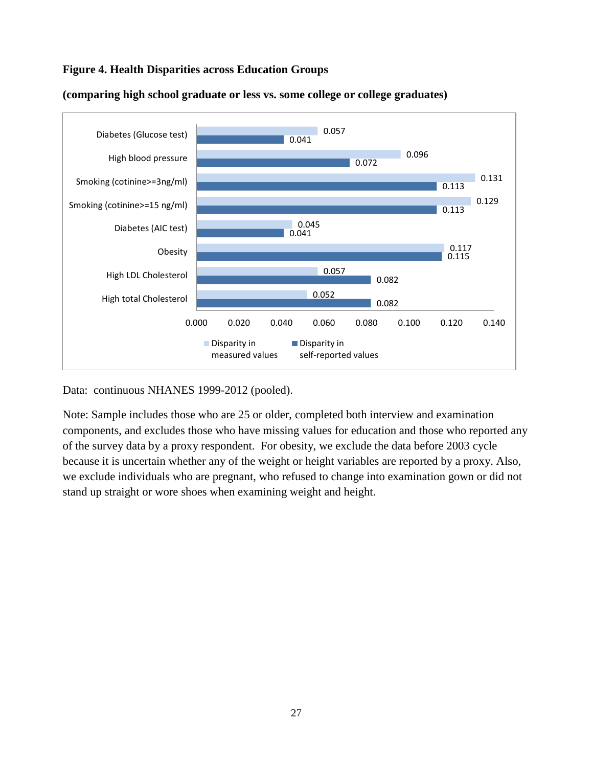### **Figure 4. Health Disparities across Education Groups**



**(comparing high school graduate or less vs. some college or college graduates)**

Data: continuous NHANES 1999-2012 (pooled).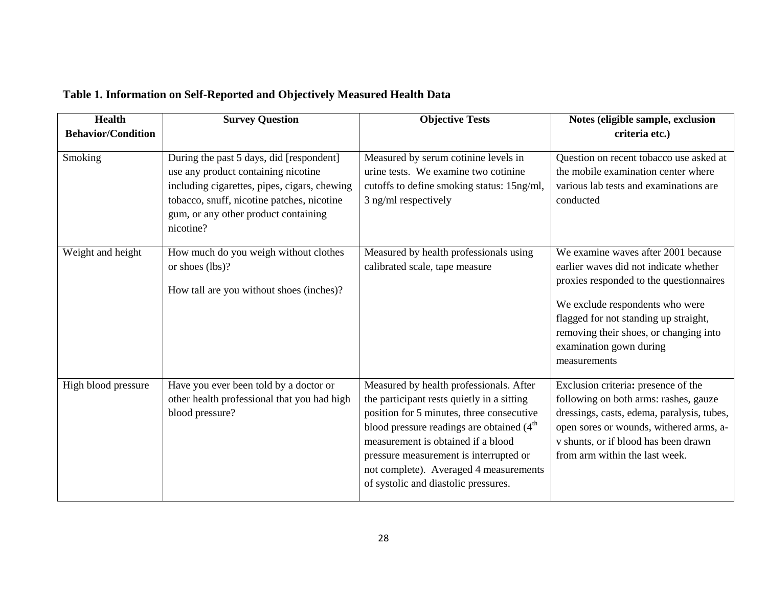|  | Table 1. Information on Self-Reported and Objectively Measured Health Data |  |  |
|--|----------------------------------------------------------------------------|--|--|
|  |                                                                            |  |  |

| <b>Health</b>             | <b>Survey Question</b>                                                                                                                                                                                                             | <b>Objective Tests</b>                                                                                                                                                                                                                                                                                                                              | Notes (eligible sample, exclusion                                                                                                                                                                                                                                                         |
|---------------------------|------------------------------------------------------------------------------------------------------------------------------------------------------------------------------------------------------------------------------------|-----------------------------------------------------------------------------------------------------------------------------------------------------------------------------------------------------------------------------------------------------------------------------------------------------------------------------------------------------|-------------------------------------------------------------------------------------------------------------------------------------------------------------------------------------------------------------------------------------------------------------------------------------------|
| <b>Behavior/Condition</b> |                                                                                                                                                                                                                                    |                                                                                                                                                                                                                                                                                                                                                     | criteria etc.)                                                                                                                                                                                                                                                                            |
| Smoking                   | During the past 5 days, did [respondent]<br>use any product containing nicotine<br>including cigarettes, pipes, cigars, chewing<br>tobacco, snuff, nicotine patches, nicotine<br>gum, or any other product containing<br>nicotine? | Measured by serum cotinine levels in<br>urine tests. We examine two cotinine<br>cutoffs to define smoking status: 15ng/ml,<br>3 ng/ml respectively                                                                                                                                                                                                  | Question on recent tobacco use asked at<br>the mobile examination center where<br>various lab tests and examinations are<br>conducted                                                                                                                                                     |
| Weight and height         | How much do you weigh without clothes<br>or shoes (lbs)?<br>How tall are you without shoes (inches)?                                                                                                                               | Measured by health professionals using<br>calibrated scale, tape measure                                                                                                                                                                                                                                                                            | We examine waves after 2001 because<br>earlier waves did not indicate whether<br>proxies responded to the questionnaires<br>We exclude respondents who were<br>flagged for not standing up straight,<br>removing their shoes, or changing into<br>examination gown during<br>measurements |
| High blood pressure       | Have you ever been told by a doctor or<br>other health professional that you had high<br>blood pressure?                                                                                                                           | Measured by health professionals. After<br>the participant rests quietly in a sitting<br>position for 5 minutes, three consecutive<br>blood pressure readings are obtained $(4th$<br>measurement is obtained if a blood<br>pressure measurement is interrupted or<br>not complete). Averaged 4 measurements<br>of systolic and diastolic pressures. | Exclusion criteria: presence of the<br>following on both arms: rashes, gauze<br>dressings, casts, edema, paralysis, tubes,<br>open sores or wounds, withered arms, a-<br>v shunts, or if blood has been drawn<br>from arm within the last week.                                           |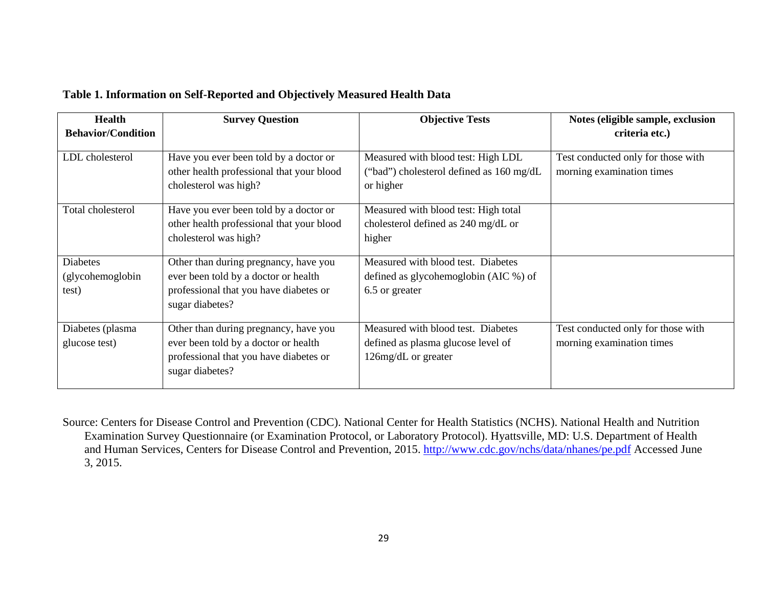| Table 1. Information on Self-Reported and Objectively Measured Health Data |
|----------------------------------------------------------------------------|
|----------------------------------------------------------------------------|

| <b>Health</b><br><b>Behavior/Condition</b>   | <b>Survey Question</b>                                                                                                                     | <b>Objective Tests</b>                                                                          | Notes (eligible sample, exclusion<br>criteria etc.)             |
|----------------------------------------------|--------------------------------------------------------------------------------------------------------------------------------------------|-------------------------------------------------------------------------------------------------|-----------------------------------------------------------------|
| LDL cholesterol                              | Have you ever been told by a doctor or<br>other health professional that your blood<br>cholesterol was high?                               | Measured with blood test: High LDL<br>("bad") cholesterol defined as 160 mg/dL<br>or higher     | Test conducted only for those with<br>morning examination times |
| Total cholesterol                            | Have you ever been told by a doctor or<br>other health professional that your blood<br>cholesterol was high?                               | Measured with blood test: High total<br>cholesterol defined as 240 mg/dL or<br>higher           |                                                                 |
| <b>Diabetes</b><br>(glycohemoglobin<br>test) | Other than during pregnancy, have you<br>ever been told by a doctor or health<br>professional that you have diabetes or<br>sugar diabetes? | Measured with blood test. Diabetes<br>defined as glycohemoglobin (AIC %) of<br>6.5 or greater   |                                                                 |
| Diabetes (plasma<br>glucose test)            | Other than during pregnancy, have you<br>ever been told by a doctor or health<br>professional that you have diabetes or<br>sugar diabetes? | Measured with blood test. Diabetes<br>defined as plasma glucose level of<br>126mg/dL or greater | Test conducted only for those with<br>morning examination times |

Source: Centers for Disease Control and Prevention (CDC). National Center for Health Statistics (NCHS). National Health and Nutrition Examination Survey Questionnaire (or Examination Protocol, or Laboratory Protocol). Hyattsville, MD: U.S. Department of Health and Human Services, Centers for Disease Control and Prevention, 2015. <http://www.cdc.gov/nchs/data/nhanes/pe.pdf> Accessed June 3, 2015.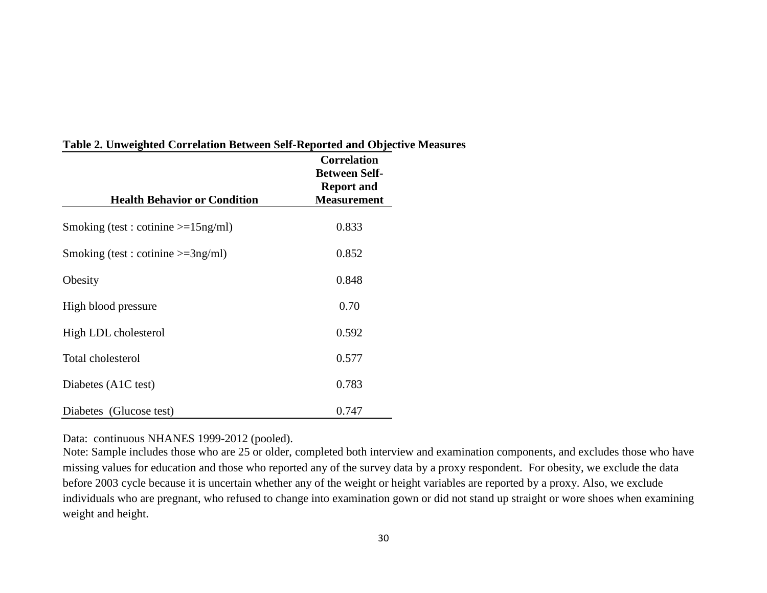| <b>Health Behavior or Condition</b>   | <b>Correlation</b><br><b>Between Self-</b><br><b>Report and</b><br><b>Measurement</b> |
|---------------------------------------|---------------------------------------------------------------------------------------|
| Smoking (test: cotinine $>=15$ ng/ml) | 0.833                                                                                 |
| Smoking (test : cotinine $>=3ng/ml$ ) | 0.852                                                                                 |
| Obesity                               | 0.848                                                                                 |
| High blood pressure                   | 0.70                                                                                  |
| High LDL cholesterol                  | 0.592                                                                                 |
| Total cholesterol                     | 0.577                                                                                 |
| Diabetes (A1C test)                   | 0.783                                                                                 |
| Diabetes (Glucose test)               | 0.747                                                                                 |

#### **Table 2. Unweighted Correlation Between Self-Reported and Objective Measures**

Data: continuous NHANES 1999-2012 (pooled).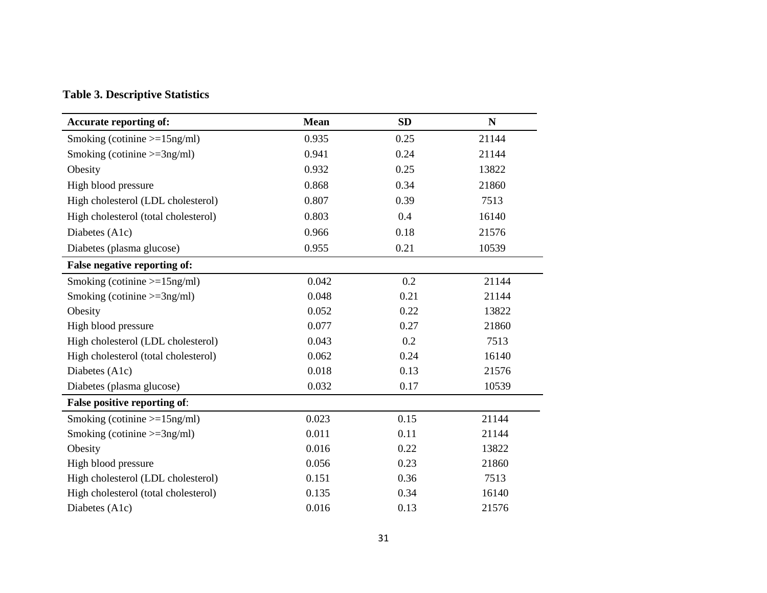#### **Table 3. Descriptive Statistics**

| <b>Accurate reporting of:</b>        | <b>Mean</b> | <b>SD</b> | ${\bf N}$ |
|--------------------------------------|-------------|-----------|-----------|
| Smoking (cotinine $>=15$ ng/ml)      | 0.935       | 0.25      | 21144     |
| Smoking (cotinine $>=3ng/ml$ )       | 0.941       | 0.24      | 21144     |
| Obesity                              | 0.932       | 0.25      | 13822     |
| High blood pressure                  | 0.868       | 0.34      | 21860     |
| High cholesterol (LDL cholesterol)   | 0.807       | 0.39      | 7513      |
| High cholesterol (total cholesterol) | 0.803       | 0.4       | 16140     |
| Diabetes (A1c)                       | 0.966       | 0.18      | 21576     |
| Diabetes (plasma glucose)            | 0.955       | 0.21      | 10539     |
| False negative reporting of:         |             |           |           |
| Smoking (cotinine $>=15$ ng/ml)      | 0.042       | 0.2       | 21144     |
| Smoking (cotinine $>=3ng/ml$ )       | 0.048       | 0.21      | 21144     |
| Obesity                              | 0.052       | 0.22      | 13822     |
| High blood pressure                  | 0.077       | 0.27      | 21860     |
| High cholesterol (LDL cholesterol)   | 0.043       | 0.2       | 7513      |
| High cholesterol (total cholesterol) | 0.062       | 0.24      | 16140     |
| Diabetes (A1c)                       | 0.018       | 0.13      | 21576     |
| Diabetes (plasma glucose)            | 0.032       | 0.17      | 10539     |
| False positive reporting of:         |             |           |           |
| Smoking (cotinine $>=15$ ng/ml)      | 0.023       | 0.15      | 21144     |
| Smoking (cotinine $>=3ng/ml$ )       | 0.011       | 0.11      | 21144     |
| Obesity                              | 0.016       | 0.22      | 13822     |
| High blood pressure                  | 0.056       | 0.23      | 21860     |
| High cholesterol (LDL cholesterol)   | 0.151       | 0.36      | 7513      |
| High cholesterol (total cholesterol) | 0.135       | 0.34      | 16140     |
| Diabetes (A1c)                       | 0.016       | 0.13      | 21576     |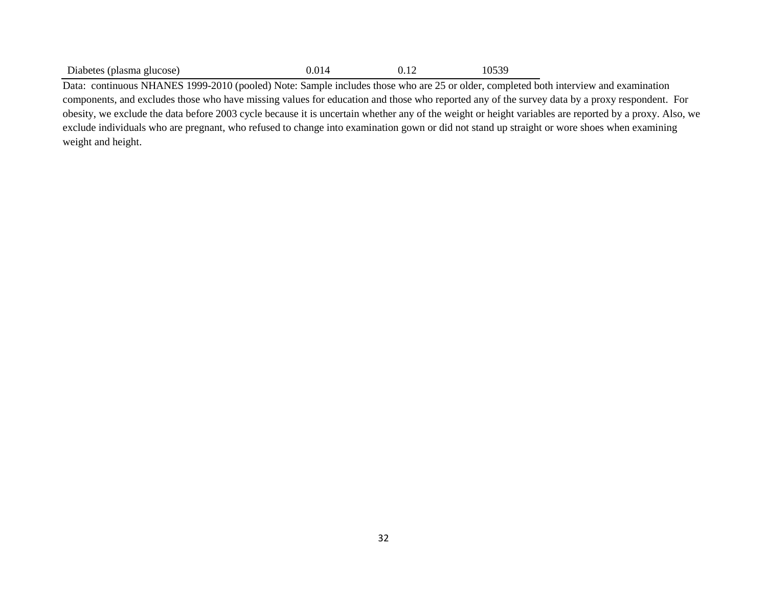| Diabetes (plasma glucose) | 0.014 | 0.12 | 10539 |
|---------------------------|-------|------|-------|
|---------------------------|-------|------|-------|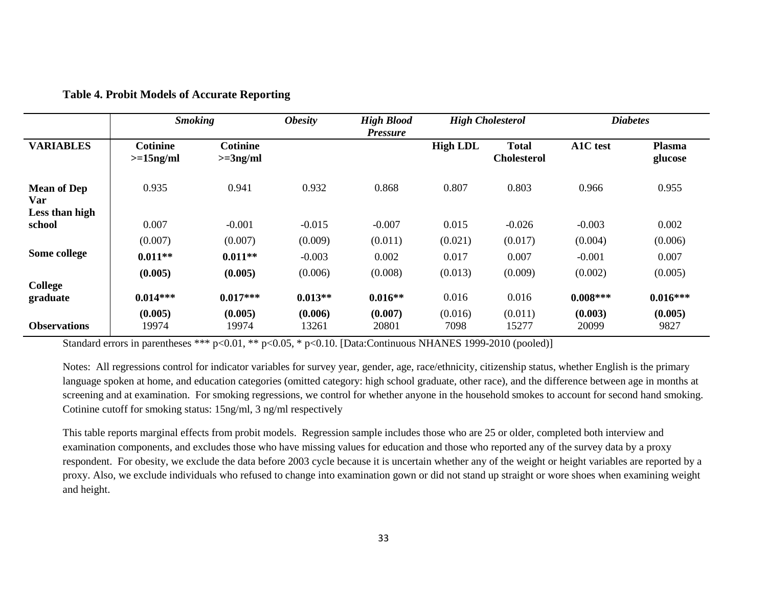|                           | <b>Smoking</b>                 |                               | <b>Obesity</b>   | <b>High Blood</b><br><b>Pressure</b> |                 | <b>High Cholesterol</b>            |                  | <b>Diabetes</b>          |
|---------------------------|--------------------------------|-------------------------------|------------------|--------------------------------------|-----------------|------------------------------------|------------------|--------------------------|
| <b>VARIABLES</b>          | <b>Cotinine</b><br>$>=15ng/ml$ | <b>Cotinine</b><br>$>=3ng/ml$ |                  |                                      | <b>High LDL</b> | <b>Total</b><br><b>Cholesterol</b> | A1C test         | <b>Plasma</b><br>glucose |
| <b>Mean of Dep</b><br>Var | 0.935                          | 0.941                         | 0.932            | 0.868                                | 0.807           | 0.803                              | 0.966            | 0.955                    |
| Less than high<br>school  | 0.007                          | $-0.001$                      | $-0.015$         | $-0.007$                             | 0.015           | $-0.026$                           | $-0.003$         | 0.002                    |
|                           | (0.007)                        | (0.007)                       | (0.009)          | (0.011)                              | (0.021)         | (0.017)                            | (0.004)          | (0.006)                  |
| Some college              | $0.011**$                      | $0.011**$                     | $-0.003$         | 0.002                                | 0.017           | 0.007                              | $-0.001$         | 0.007                    |
|                           | (0.005)                        | (0.005)                       | (0.006)          | (0.008)                              | (0.013)         | (0.009)                            | (0.002)          | (0.005)                  |
| College<br>graduate       | $0.014***$                     | $0.017***$                    | $0.013**$        | $0.016**$                            | 0.016           | 0.016                              | $0.008***$       | $0.016***$               |
| <b>Observations</b>       | (0.005)<br>19974               | (0.005)<br>19974              | (0.006)<br>13261 | (0.007)<br>20801                     | (0.016)<br>7098 | (0.011)<br>15277                   | (0.003)<br>20099 | (0.005)<br>9827          |

#### **Table 4. Probit Models of Accurate Reporting**

Standard errors in parentheses \*\*\* p<0.01, \*\* p<0.05, \* p<0.10. [Data:Continuous NHANES 1999-2010 (pooled)]

Notes: All regressions control for indicator variables for survey year, gender, age, race/ethnicity, citizenship status, whether English is the primary language spoken at home, and education categories (omitted category: high school graduate, other race), and the difference between age in months at screening and at examination. For smoking regressions, we control for whether anyone in the household smokes to account for second hand smoking. Cotinine cutoff for smoking status: 15ng/ml, 3 ng/ml respectively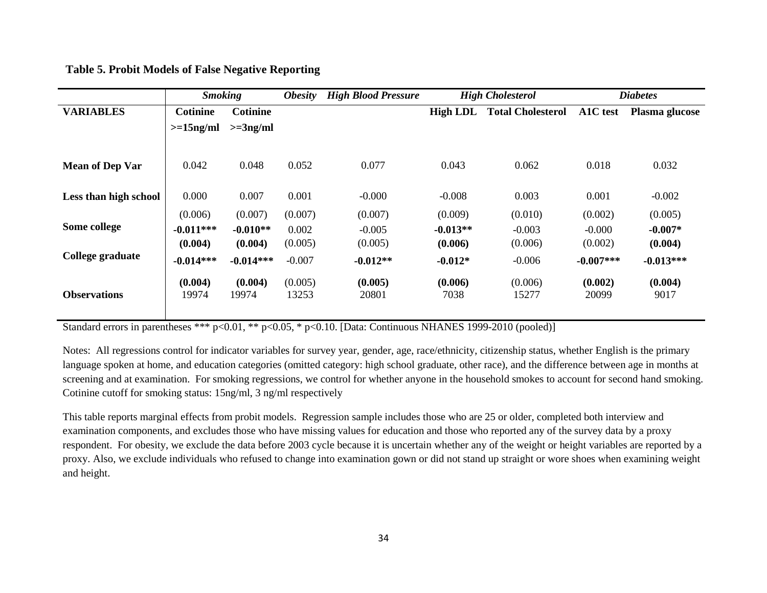|                        | <b>Smoking</b>  |                 | <b>Obesity</b> | <b>High Blood Pressure</b> | <b>High Cholesterol</b> |                          | <b>Diabetes</b> |                |
|------------------------|-----------------|-----------------|----------------|----------------------------|-------------------------|--------------------------|-----------------|----------------|
| <b>VARIABLES</b>       | <b>Cotinine</b> | <b>Cotinine</b> |                |                            | <b>High LDL</b>         | <b>Total Cholesterol</b> | A1C test        | Plasma glucose |
|                        | $>=15$ ng/ml    | $>=3ng/ml$      |                |                            |                         |                          |                 |                |
|                        |                 |                 |                |                            |                         |                          |                 |                |
| <b>Mean of Dep Var</b> | 0.042           | 0.048           | 0.052          | 0.077                      | 0.043                   | 0.062                    | 0.018           | 0.032          |
| Less than high school  | 0.000           | 0.007           | 0.001          | $-0.000$                   | $-0.008$                | 0.003                    | 0.001           | $-0.002$       |
|                        | (0.006)         | (0.007)         | (0.007)        | (0.007)                    | (0.009)                 | (0.010)                  | (0.002)         | (0.005)        |
| Some college           | $-0.011***$     | $-0.010**$      | 0.002          | $-0.005$                   | $-0.013**$              | $-0.003$                 | $-0.000$        | $-0.007*$      |
|                        | (0.004)         | (0.004)         | (0.005)        | (0.005)                    | (0.006)                 | (0.006)                  | (0.002)         | (0.004)        |
| College graduate       | $-0.014***$     | $-0.014***$     | $-0.007$       | $-0.012**$                 | $-0.012*$               | $-0.006$                 | $-0.007***$     | $-0.013***$    |
|                        | (0.004)         | (0.004)         | (0.005)        | (0.005)                    | (0.006)                 | (0.006)                  | (0.002)         | (0.004)        |
| <b>Observations</b>    | 19974           | 19974           | 13253          | 20801                      | 7038                    | 15277                    | 20099           | 9017           |
|                        |                 |                 |                |                            |                         |                          |                 |                |

**Table 5. Probit Models of False Negative Reporting**

Standard errors in parentheses \*\*\* p<0.01, \*\* p<0.05, \* p<0.10. [Data: Continuous NHANES 1999-2010 (pooled)]

Notes: All regressions control for indicator variables for survey year, gender, age, race/ethnicity, citizenship status, whether English is the primary language spoken at home, and education categories (omitted category: high school graduate, other race), and the difference between age in months at screening and at examination. For smoking regressions, we control for whether anyone in the household smokes to account for second hand smoking. Cotinine cutoff for smoking status: 15ng/ml, 3 ng/ml respectively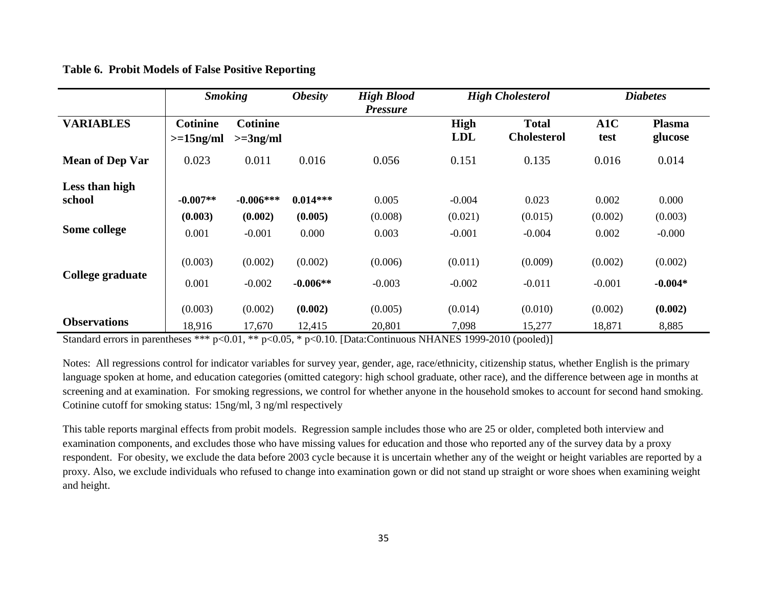| <b>Table 6. Probit Models of False Positive Reporting</b> |  |  |
|-----------------------------------------------------------|--|--|
|                                                           |  |  |

|                          | <b>Smoking</b>                  |                               | <b>Obesity</b>        | <b>High Blood</b>   |                           | <b>High Cholesterol</b>            |                     | <b>Diabetes</b>          |
|--------------------------|---------------------------------|-------------------------------|-----------------------|---------------------|---------------------------|------------------------------------|---------------------|--------------------------|
| <b>VARIABLES</b>         | <b>Cotinine</b><br>$>=15$ ng/ml | <b>Cotinine</b><br>$>=3ng/ml$ |                       | <b>Pressure</b>     | <b>High</b><br><b>LDL</b> | <b>Total</b><br><b>Cholesterol</b> | A1C<br>test         | <b>Plasma</b><br>glucose |
| <b>Mean of Dep Var</b>   | 0.023                           | 0.011                         | 0.016                 | 0.056               | 0.151                     | 0.135                              | 0.016               | 0.014                    |
| Less than high<br>school | $-0.007**$                      | $-0.006***$                   | $0.014***$            | 0.005               | $-0.004$                  | 0.023                              | 0.002               | 0.000                    |
| Some college             | (0.003)<br>0.001                | (0.002)<br>$-0.001$           | (0.005)<br>0.000      | (0.008)<br>0.003    | (0.021)<br>$-0.001$       | (0.015)<br>$-0.004$                | (0.002)<br>0.002    | (0.003)<br>$-0.000$      |
| College graduate         | (0.003)                         | (0.002)                       | (0.002)               | (0.006)             | (0.011)                   | (0.009)                            | (0.002)             | (0.002)                  |
|                          | 0.001<br>(0.003)                | $-0.002$<br>(0.002)           | $-0.006**$<br>(0.002) | $-0.003$<br>(0.005) | $-0.002$<br>(0.014)       | $-0.011$<br>(0.010)                | $-0.001$<br>(0.002) | $-0.004*$<br>(0.002)     |
| <b>Observations</b>      | 18,916                          | 17,670                        | 12,415                | 20,801              | 7,098                     | 15,277                             | 18,871              | 8,885                    |

Standard errors in parentheses \*\*\* p<0.01, \*\* p<0.05, \* p<0.10. [Data:Continuous NHANES 1999-2010 (pooled)]

Notes: All regressions control for indicator variables for survey year, gender, age, race/ethnicity, citizenship status, whether English is the primary language spoken at home, and education categories (omitted category: high school graduate, other race), and the difference between age in months at screening and at examination. For smoking regressions, we control for whether anyone in the household smokes to account for second hand smoking. Cotinine cutoff for smoking status: 15ng/ml, 3 ng/ml respectively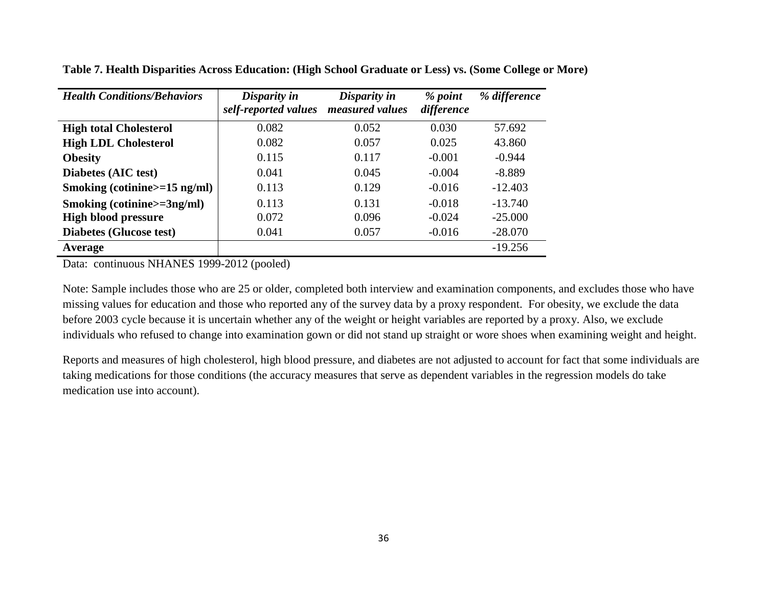| <b>Health Conditions/Behaviors</b> | Disparity in<br>self-reported values | Disparity in<br>measured values | % point<br>difference | % difference |
|------------------------------------|--------------------------------------|---------------------------------|-----------------------|--------------|
| <b>High total Cholesterol</b>      | 0.082                                | 0.052                           | 0.030                 | 57.692       |
| <b>High LDL Cholesterol</b>        | 0.082                                | 0.057                           | 0.025                 | 43.860       |
| <b>Obesity</b>                     | 0.115                                | 0.117                           | $-0.001$              | $-0.944$     |
| Diabetes (AIC test)                | 0.041                                | 0.045                           | $-0.004$              | $-8.889$     |
| Smoking (cotinine $>=15$ ng/ml)    | 0.113                                | 0.129                           | $-0.016$              | $-12.403$    |
| Smoking (cotinine>=3ng/ml)         | 0.113                                | 0.131                           | $-0.018$              | $-13.740$    |
| <b>High blood pressure</b>         | 0.072                                | 0.096                           | $-0.024$              | $-25.000$    |
| <b>Diabetes (Glucose test)</b>     | 0.041                                | 0.057                           | $-0.016$              | $-28.070$    |
| Average                            |                                      |                                 |                       | $-19.256$    |

**Table 7. Health Disparities Across Education: (High School Graduate or Less) vs. (Some College or More)**

Data: continuous NHANES 1999-2012 (pooled)

Note: Sample includes those who are 25 or older, completed both interview and examination components, and excludes those who have missing values for education and those who reported any of the survey data by a proxy respondent. For obesity, we exclude the data before 2003 cycle because it is uncertain whether any of the weight or height variables are reported by a proxy. Also, we exclude individuals who refused to change into examination gown or did not stand up straight or wore shoes when examining weight and height.

Reports and measures of high cholesterol, high blood pressure, and diabetes are not adjusted to account for fact that some individuals are taking medications for those conditions (the accuracy measures that serve as dependent variables in the regression models do take medication use into account).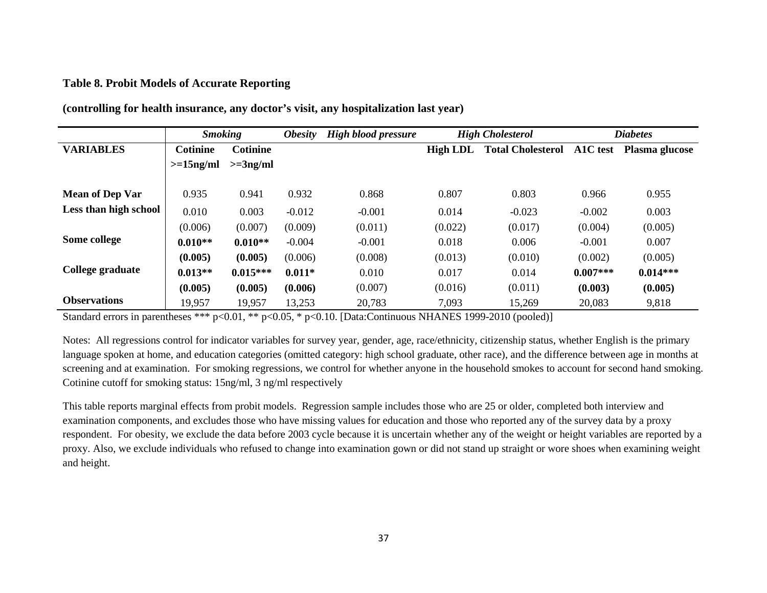#### **Table 8. Probit Models of Accurate Reporting**

|                        | <b>Smoking</b>  |                 | <i><b>Obesity</b></i> | <b>High blood pressure</b> | <b>High Cholesterol</b> |                          | <b>Diabetes</b> |                |
|------------------------|-----------------|-----------------|-----------------------|----------------------------|-------------------------|--------------------------|-----------------|----------------|
| <b>VARIABLES</b>       | <b>Cotinine</b> | <b>Cotinine</b> |                       |                            | High LDL                | <b>Total Cholesterol</b> | A1C test        | Plasma glucose |
|                        | $>=15ng/ml$     | $>=3ng/ml$      |                       |                            |                         |                          |                 |                |
|                        |                 |                 |                       |                            |                         |                          |                 |                |
| <b>Mean of Dep Var</b> | 0.935           | 0.941           | 0.932                 | 0.868                      | 0.807                   | 0.803                    | 0.966           | 0.955          |
| Less than high school  | 0.010           | 0.003           | $-0.012$              | $-0.001$                   | 0.014                   | $-0.023$                 | $-0.002$        | 0.003          |
|                        | (0.006)         | (0.007)         | (0.009)               | (0.011)                    | (0.022)                 | (0.017)                  | (0.004)         | (0.005)        |
| Some college           | $0.010**$       | $0.010**$       | $-0.004$              | $-0.001$                   | 0.018                   | 0.006                    | $-0.001$        | 0.007          |
|                        | (0.005)         | (0.005)         | (0.006)               | (0.008)                    | (0.013)                 | (0.010)                  | (0.002)         | (0.005)        |
| College graduate       | $0.013**$       | $0.015***$      | $0.011*$              | 0.010                      | 0.017                   | 0.014                    | $0.007***$      | $0.014***$     |
|                        | (0.005)         | (0.005)         | (0.006)               | (0.007)                    | (0.016)                 | (0.011)                  | (0.003)         | (0.005)        |
| <b>Observations</b>    | 19,957          | 19,957          | 13,253                | 20,783                     | 7,093                   | 15,269                   | 20,083          | 9,818          |

**(controlling for health insurance, any doctor's visit, any hospitalization last year)** 

Standard errors in parentheses \*\*\* p<0.01, \*\* p<0.05, \* p<0.10. [Data:Continuous NHANES 1999-2010 (pooled)]

Notes: All regressions control for indicator variables for survey year, gender, age, race/ethnicity, citizenship status, whether English is the primary language spoken at home, and education categories (omitted category: high school graduate, other race), and the difference between age in months at screening and at examination. For smoking regressions, we control for whether anyone in the household smokes to account for second hand smoking. Cotinine cutoff for smoking status: 15ng/ml, 3 ng/ml respectively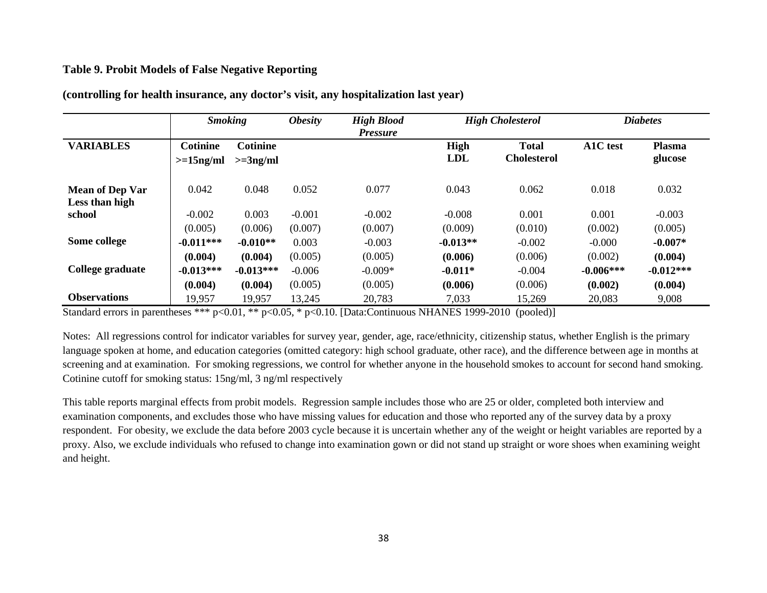#### **Table 9. Probit Models of False Negative Reporting**

|                                          | <b>Smoking</b>                  |                               | <i><b>Obesity</b></i> | <b>High Blood</b><br><i>Pressure</i> | <b>High Cholesterol</b> |                                    | <b>Diabetes</b> |                          |
|------------------------------------------|---------------------------------|-------------------------------|-----------------------|--------------------------------------|-------------------------|------------------------------------|-----------------|--------------------------|
| <b>VARIABLES</b>                         | <b>Cotinine</b><br>$>=15$ ng/ml | <b>Cotinine</b><br>$>=3ng/ml$ |                       |                                      | High<br><b>LDL</b>      | <b>Total</b><br><b>Cholesterol</b> | A1C test        | <b>Plasma</b><br>glucose |
| <b>Mean of Dep Var</b><br>Less than high | 0.042                           | 0.048                         | 0.052                 | 0.077                                | 0.043                   | 0.062                              | 0.018           | 0.032                    |
| school                                   | $-0.002$                        | 0.003                         | $-0.001$              | $-0.002$                             | $-0.008$                | 0.001                              | 0.001           | $-0.003$                 |
|                                          | (0.005)                         | (0.006)                       | (0.007)               | (0.007)                              | (0.009)                 | (0.010)                            | (0.002)         | (0.005)                  |
| Some college                             | $-0.011***$                     | $-0.010**$                    | 0.003                 | $-0.003$                             | $-0.013**$              | $-0.002$                           | $-0.000$        | $-0.007*$                |
|                                          | (0.004)                         | (0.004)                       | (0.005)               | (0.005)                              | (0.006)                 | (0.006)                            | (0.002)         | (0.004)                  |
| College graduate                         | $-0.013***$                     | $-0.013***$                   | $-0.006$              | $-0.009*$                            | $-0.011*$               | $-0.004$                           | $-0.006***$     | $-0.012***$              |
|                                          | (0.004)                         | (0.004)                       | (0.005)               | (0.005)                              | (0.006)                 | (0.006)                            | (0.002)         | (0.004)                  |
| <b>Observations</b>                      | 19,957                          | 19,957                        | 13,245                | 20,783                               | 7,033                   | 15,269                             | 20,083          | 9,008                    |

**(controlling for health insurance, any doctor's visit, any hospitalization last year)**

Standard errors in parentheses \*\*\* p<0.01, \*\* p<0.05, \* p<0.10. [Data:Continuous NHANES 1999-2010 (pooled)]

Notes: All regressions control for indicator variables for survey year, gender, age, race/ethnicity, citizenship status, whether English is the primary language spoken at home, and education categories (omitted category: high school graduate, other race), and the difference between age in months at screening and at examination. For smoking regressions, we control for whether anyone in the household smokes to account for second hand smoking. Cotinine cutoff for smoking status: 15ng/ml, 3 ng/ml respectively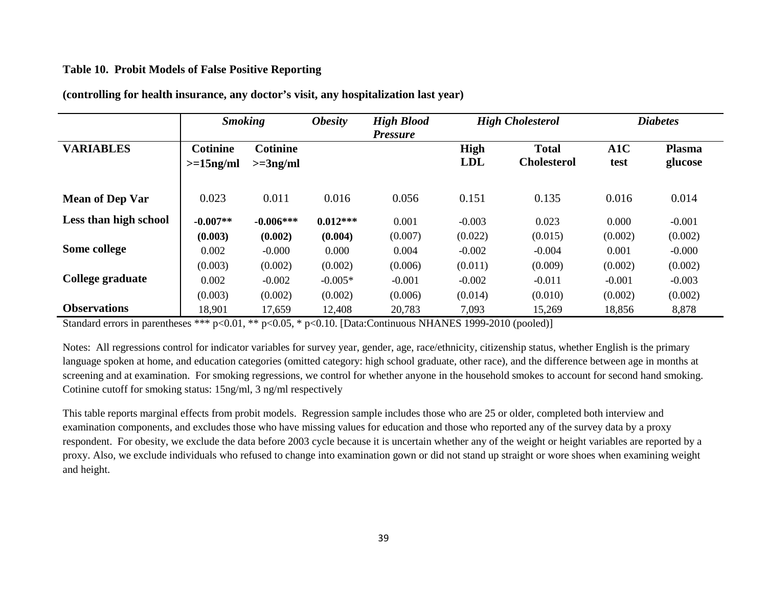#### **Table 10. Probit Models of False Positive Reporting**

|                        | <b>Smoking</b>                 |                               | <b>High Blood</b><br><i><b>Obesity</b></i><br><b>Pressure</b> |          | <b>High Cholesterol</b>   |                                    | <b>Diabetes</b> |                          |
|------------------------|--------------------------------|-------------------------------|---------------------------------------------------------------|----------|---------------------------|------------------------------------|-----------------|--------------------------|
| <b>VARIABLES</b>       | <b>Cotinine</b><br>$>=15ng/ml$ | <b>Cotinine</b><br>$>=3ng/ml$ |                                                               |          | <b>High</b><br><b>LDL</b> | <b>Total</b><br><b>Cholesterol</b> | A1C<br>test     | <b>Plasma</b><br>glucose |
| <b>Mean of Dep Var</b> | 0.023                          | 0.011                         | 0.016                                                         | 0.056    | 0.151                     | 0.135                              | 0.016           | 0.014                    |
| Less than high school  | $-0.007**$                     | $-0.006***$                   | $0.012***$                                                    | 0.001    | $-0.003$                  | 0.023                              | 0.000           | $-0.001$                 |
|                        | (0.003)                        | (0.002)                       | (0.004)                                                       | (0.007)  | (0.022)                   | (0.015)                            | (0.002)         | (0.002)                  |
| Some college           | 0.002                          | $-0.000$                      | 0.000                                                         | 0.004    | $-0.002$                  | $-0.004$                           | 0.001           | $-0.000$                 |
|                        | (0.003)                        | (0.002)                       | (0.002)                                                       | (0.006)  | (0.011)                   | (0.009)                            | (0.002)         | (0.002)                  |
| College graduate       | 0.002                          | $-0.002$                      | $-0.005*$                                                     | $-0.001$ | $-0.002$                  | $-0.011$                           | $-0.001$        | $-0.003$                 |
|                        | (0.003)                        | (0.002)                       | (0.002)                                                       | (0.006)  | (0.014)                   | (0.010)                            | (0.002)         | (0.002)                  |
| <b>Observations</b>    | 18,901                         | 17,659                        | 12,408                                                        | 20,783   | 7,093                     | 15,269                             | 18,856          | 8,878                    |

**(controlling for health insurance, any doctor's visit, any hospitalization last year)**

Standard errors in parentheses \*\*\* p<0.01, \*\* p<0.05, \* p<0.10. [Data:Continuous NHANES 1999-2010 (pooled)]

Notes: All regressions control for indicator variables for survey year, gender, age, race/ethnicity, citizenship status, whether English is the primary language spoken at home, and education categories (omitted category: high school graduate, other race), and the difference between age in months at screening and at examination. For smoking regressions, we control for whether anyone in the household smokes to account for second hand smoking. Cotinine cutoff for smoking status: 15ng/ml, 3 ng/ml respectively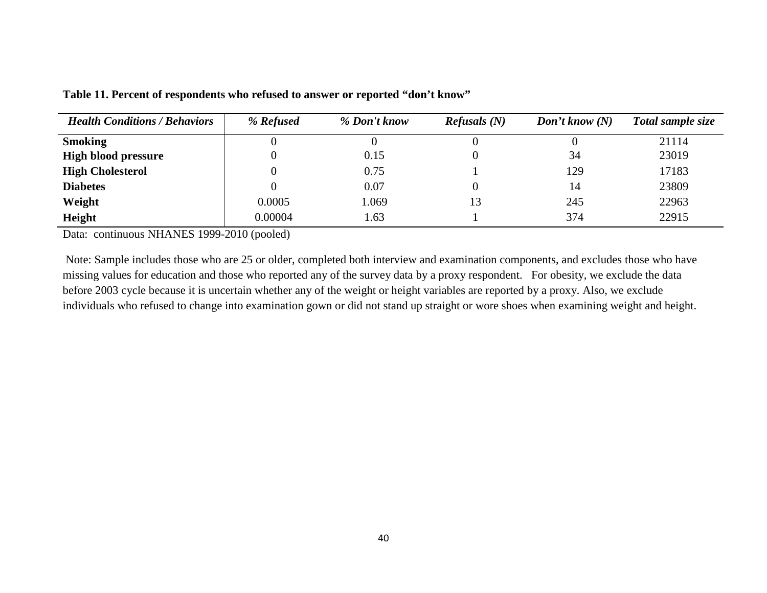| <b>Health Conditions / Behaviors</b> | % Refused | % Don't know | $\mathbf{Refusals}$ (N) | Don't know $(N)$ | Total sample size |
|--------------------------------------|-----------|--------------|-------------------------|------------------|-------------------|
| <b>Smoking</b>                       |           |              |                         |                  | 21114             |
| <b>High blood pressure</b>           | O         | 0.15         |                         | 34               | 23019             |
| <b>High Cholesterol</b>              |           | 0.75         |                         | 129              | 17183             |
| <b>Diabetes</b>                      | 0         | 0.07         |                         | 14               | 23809             |
| Weight                               | 0.0005    | 1.069        | 13                      | 245              | 22963             |
| Height                               | 0.00004   | 1.63         |                         | 374              | 22915             |

**Table 11. Percent of respondents who refused to answer or reported "don't know"** 

Data: continuous NHANES 1999-2010 (pooled)